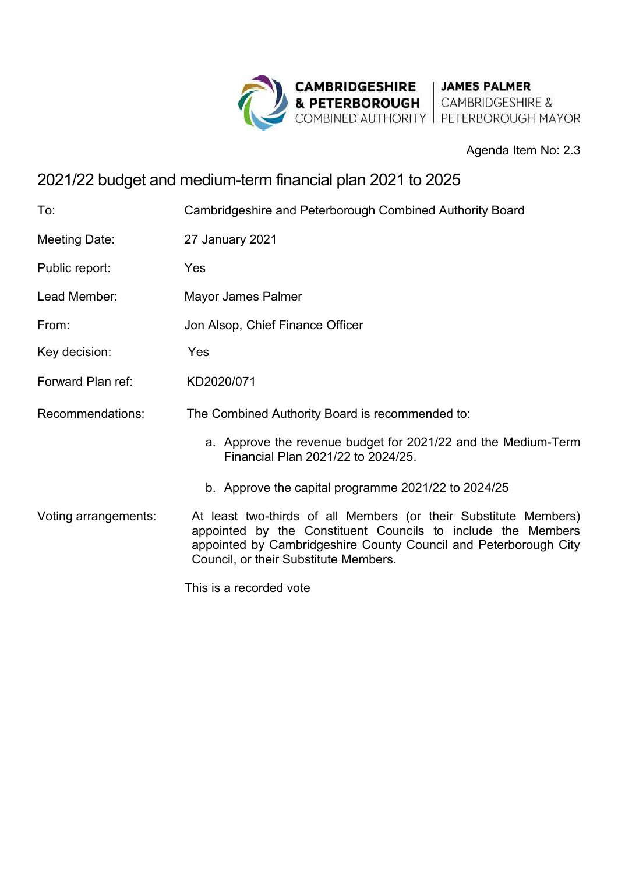

## Agenda Item No: 2.3

# 2021/22 budget and medium-term financial plan 2021 to 2025

| To:                  | Cambridgeshire and Peterborough Combined Authority Board                                                                                                                                                                                      |
|----------------------|-----------------------------------------------------------------------------------------------------------------------------------------------------------------------------------------------------------------------------------------------|
| Meeting Date:        | 27 January 2021                                                                                                                                                                                                                               |
| Public report:       | Yes                                                                                                                                                                                                                                           |
| Lead Member:         | Mayor James Palmer                                                                                                                                                                                                                            |
| From:                | Jon Alsop, Chief Finance Officer                                                                                                                                                                                                              |
| Key decision:        | Yes                                                                                                                                                                                                                                           |
| Forward Plan ref:    | KD2020/071                                                                                                                                                                                                                                    |
| Recommendations:     | The Combined Authority Board is recommended to:                                                                                                                                                                                               |
|                      | a. Approve the revenue budget for 2021/22 and the Medium-Term<br>Financial Plan 2021/22 to 2024/25.                                                                                                                                           |
|                      | b. Approve the capital programme 2021/22 to 2024/25                                                                                                                                                                                           |
| Voting arrangements: | At least two-thirds of all Members (or their Substitute Members)<br>appointed by the Constituent Councils to include the Members<br>appointed by Cambridgeshire County Council and Peterborough City<br>Council, or their Substitute Members. |
|                      | This is a recorded vote                                                                                                                                                                                                                       |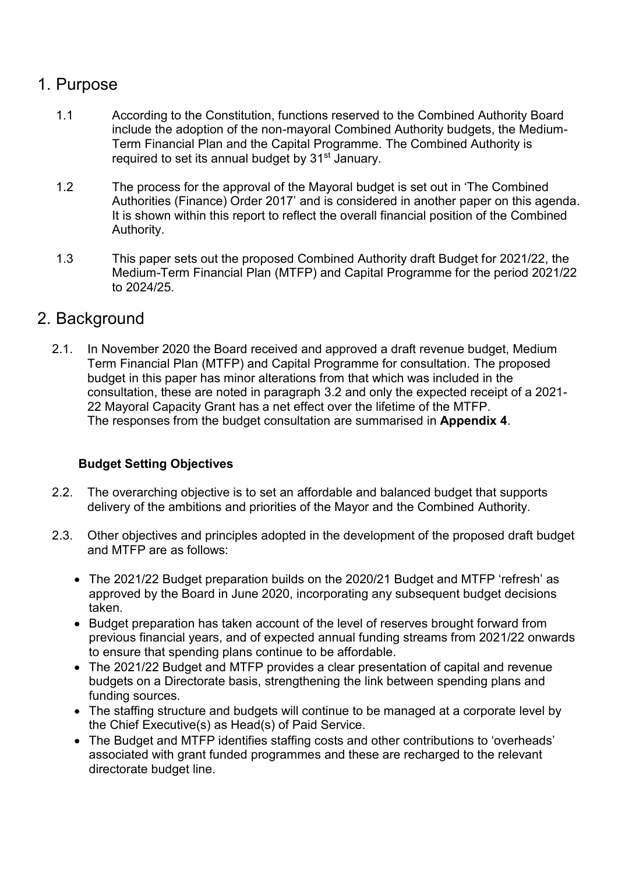# 1. Purpose

- 1.1 According to the Constitution, functions reserved to the Combined Authority Board include the adoption of the non-mayoral Combined Authority budgets, the Medium-Term Financial Plan and the Capital Programme. The Combined Authority is required to set its annual budget by 31<sup>st</sup> January.
- 1.2 The process for the approval of the Mayoral budget is set out in 'The Combined Authorities (Finance) Order 2017' and is considered in another paper on this agenda. It is shown within this report to reflect the overall financial position of the Combined Authority.
- 1.3 This paper sets out the proposed Combined Authority draft Budget for 2021/22, the Medium-Term Financial Plan (MTFP) and Capital Programme for the period 2021/22 to 2024/25.

## 2. Background

2.1. In November 2020 the Board received and approved a draft revenue budget, Medium Term Financial Plan (MTFP) and Capital Programme for consultation. The proposed budget in this paper has minor alterations from that which was included in the consultation, these are noted in paragraph [3.2](#page-2-0) and only the expected receipt of a 2021- 22 Mayoral Capacity Grant has a net effect over the lifetime of the MTFP. The responses from the budget consultation are summarised in **Appendix 4**.

## **Budget Setting Objectives**

- 2.2. The overarching objective is to set an affordable and balanced budget that supports delivery of the ambitions and priorities of the Mayor and the Combined Authority.
- 2.3. Other objectives and principles adopted in the development of the proposed draft budget and MTFP are as follows:
	- The 2021/22 Budget preparation builds on the 2020/21 Budget and MTFP 'refresh' as approved by the Board in June 2020, incorporating any subsequent budget decisions taken.
	- Budget preparation has taken account of the level of reserves brought forward from previous financial years, and of expected annual funding streams from 2021/22 onwards to ensure that spending plans continue to be affordable.
	- The 2021/22 Budget and MTFP provides a clear presentation of capital and revenue budgets on a Directorate basis, strengthening the link between spending plans and funding sources.
	- The staffing structure and budgets will continue to be managed at a corporate level by the Chief Executive(s) as Head(s) of Paid Service.
	- The Budget and MTFP identifies staffing costs and other contributions to 'overheads' associated with grant funded programmes and these are recharged to the relevant directorate budget line.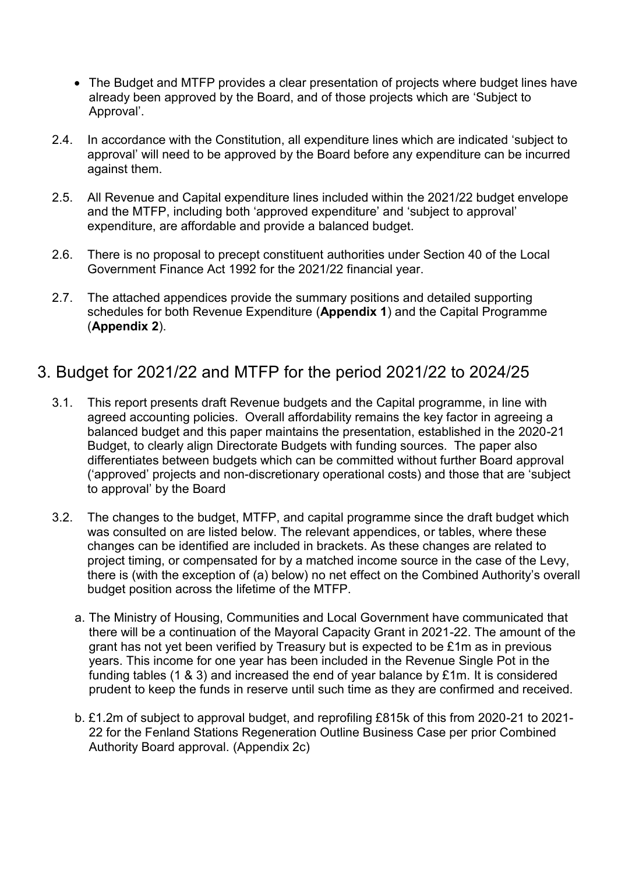- The Budget and MTFP provides a clear presentation of projects where budget lines have already been approved by the Board, and of those projects which are 'Subject to Approval'.
- 2.4. In accordance with the Constitution, all expenditure lines which are indicated 'subject to approval' will need to be approved by the Board before any expenditure can be incurred against them.
- 2.5. All Revenue and Capital expenditure lines included within the 2021/22 budget envelope and the MTFP, including both 'approved expenditure' and 'subject to approval' expenditure, are affordable and provide a balanced budget.
- 2.6. There is no proposal to precept constituent authorities under Section 40 of the Local Government Finance Act 1992 for the 2021/22 financial year.
- 2.7. The attached appendices provide the summary positions and detailed supporting schedules for both Revenue Expenditure (**Appendix 1**) and the Capital Programme (**Appendix 2**).

## 3. Budget for 2021/22 and MTFP for the period 2021/22 to 2024/25

- 3.1. This report presents draft Revenue budgets and the Capital programme, in line with agreed accounting policies. Overall affordability remains the key factor in agreeing a balanced budget and this paper maintains the presentation, established in the 2020-21 Budget, to clearly align Directorate Budgets with funding sources. The paper also differentiates between budgets which can be committed without further Board approval ('approved' projects and non-discretionary operational costs) and those that are 'subject to approval' by the Board
- <span id="page-2-0"></span>3.2. The changes to the budget, MTFP, and capital programme since the draft budget which was consulted on are listed below. The relevant appendices, or tables, where these changes can be identified are included in brackets. As these changes are related to project timing, or compensated for by a matched income source in the case of the Levy, there is (with the exception of (a) below) no net effect on the Combined Authority's overall budget position across the lifetime of the MTFP.
	- a. The Ministry of Housing, Communities and Local Government have communicated that there will be a continuation of the Mayoral Capacity Grant in 2021-22. The amount of the grant has not yet been verified by Treasury but is expected to be £1m as in previous years. This income for one year has been included in the Revenue Single Pot in the funding tables (1 & 3) and increased the end of year balance by £1m. It is considered prudent to keep the funds in reserve until such time as they are confirmed and received.
	- b. £1.2m of subject to approval budget, and reprofiling £815k of this from 2020-21 to 2021- 22 for the Fenland Stations Regeneration Outline Business Case per prior Combined Authority Board approval. (Appendix 2c)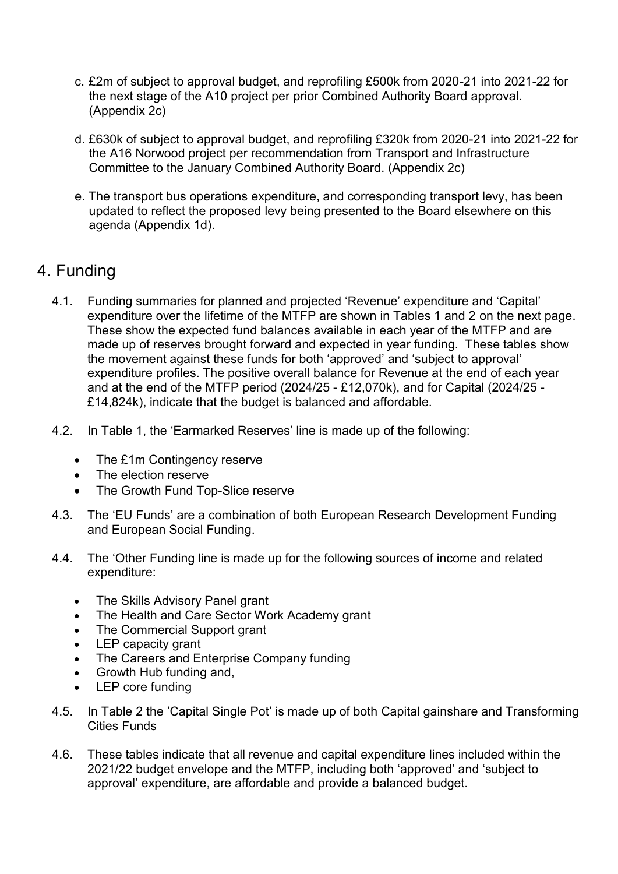- c. £2m of subject to approval budget, and reprofiling £500k from 2020-21 into 2021-22 for the next stage of the A10 project per prior Combined Authority Board approval. (Appendix 2c)
- d. £630k of subject to approval budget, and reprofiling £320k from 2020-21 into 2021-22 for the A16 Norwood project per recommendation from Transport and Infrastructure Committee to the January Combined Authority Board. (Appendix 2c)
- e. The transport bus operations expenditure, and corresponding transport levy, has been updated to reflect the proposed levy being presented to the Board elsewhere on this agenda (Appendix 1d).

# 4. Funding

- 4.1. Funding summaries for planned and projected 'Revenue' expenditure and 'Capital' expenditure over the lifetime of the MTFP are shown in Tables 1 and 2 on the next page. These show the expected fund balances available in each year of the MTFP and are made up of reserves brought forward and expected in year funding. These tables show the movement against these funds for both 'approved' and 'subject to approval' expenditure profiles. The positive overall balance for Revenue at the end of each year and at the end of the MTFP period (2024/25 - £12,070k), and for Capital (2024/25 - £14,824k), indicate that the budget is balanced and affordable.
- 4.2. In Table 1, the 'Earmarked Reserves' line is made up of the following:
	- The £1m Contingency reserve
	- The election reserve
	- The Growth Fund Top-Slice reserve
- 4.3. The 'EU Funds' are a combination of both European Research Development Funding and European Social Funding.
- 4.4. The 'Other Funding line is made up for the following sources of income and related expenditure:
	- The Skills Advisory Panel grant
	- The Health and Care Sector Work Academy grant
	- The Commercial Support grant
	- LEP capacity grant<br>• The Careers and Fi
	- The Careers and Enterprise Company funding
	- Growth Hub funding and,
	- LEP core funding
- 4.5. In Table 2 the 'Capital Single Pot' is made up of both Capital gainshare and Transforming Cities Funds
- 4.6. These tables indicate that all revenue and capital expenditure lines included within the 2021/22 budget envelope and the MTFP, including both 'approved' and 'subject to approval' expenditure, are affordable and provide a balanced budget.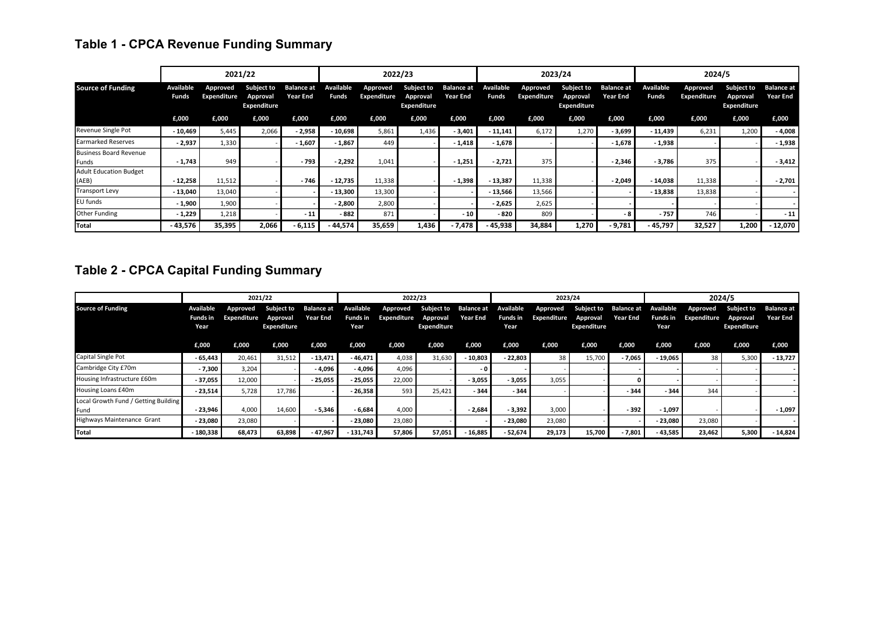# **Table 1 - CPCA Revenue Funding Summary**

|                                        |                           |                         | 2021/22                                      |                                      | 2022/23                   |                         |                                              | 2023/24                              |                           |                         | 2024/5                                       |                                      |                           |                         |                                              |                                      |
|----------------------------------------|---------------------------|-------------------------|----------------------------------------------|--------------------------------------|---------------------------|-------------------------|----------------------------------------------|--------------------------------------|---------------------------|-------------------------|----------------------------------------------|--------------------------------------|---------------------------|-------------------------|----------------------------------------------|--------------------------------------|
| <b>Source of Funding</b>               | <b>Available</b><br>Funds | Approved<br>Expenditure | <b>Subject to</b><br>Approval<br>Expenditure | <b>Balance at</b><br><b>Year End</b> | Available<br><b>Funds</b> | Approved<br>Expenditure | <b>Subject to</b><br>Approval<br>Expenditure | <b>Balance at</b><br><b>Year End</b> | Available<br><b>Funds</b> | Approved<br>Expenditure | <b>Subject to</b><br>Approval<br>Expenditure | <b>Balance at</b><br><b>Year End</b> | Available<br><b>Funds</b> | Approved<br>Expenditure | <b>Subject to</b><br>Approval<br>Expenditure | <b>Balance at</b><br><b>Year End</b> |
|                                        | £,000                     | £,000                   | £,000                                        | £,000                                | £,000                     | £,000                   | £,000                                        | £,000                                | £,000                     | £,000                   | £,000                                        | £,000                                | £,000                     | £,000                   | £,000                                        | £,000                                |
| Revenue Single Pot                     | $-10,469$                 | 5,445                   | 2,066                                        | $-2,958$                             | $-10,698$                 | 5,861                   | 1,436                                        | $-3,401$                             | $-11,141$                 | 6,172                   | 1,270                                        | $-3,699$                             | $-11,439$                 | 6,231                   | 1,200                                        | $-4,008$                             |
| <b>Earmarked Reserves</b>              | $-2,937$                  | 1,330                   |                                              | $-1,607$                             | $-1,867$                  | 449                     |                                              | $-1,418$                             | $-1,678$                  |                         |                                              | $-1,678$                             | $-1,938$                  |                         |                                              | $-1,938$                             |
| <b>Business Board Revenue</b><br>Funds | $-1,743$                  | 949                     |                                              | $-793$                               | $-2,292$                  | 1,041                   |                                              | $-1,251$                             | $-2,721$                  | 375                     |                                              | $-2,346$                             | $-3,786$                  | 375                     |                                              | $-3,412$                             |
| <b>Adult Education Budget</b><br>(AEB) | $-12,258$                 | 11,512                  |                                              | $-746$                               | - 12,735                  | 11,338                  |                                              | $-1,398$                             | $-13,387$                 | 11,338                  |                                              | $-2,049$                             | $-14,038$                 | 11,338                  |                                              | $-2,701$                             |
| <b>Transport Levy</b>                  | $-13,040$                 | 13,040                  |                                              |                                      | $-13,300$                 | 13,300                  |                                              |                                      | $-13,566$                 | 13,566                  |                                              |                                      | $-13,838$                 | 13,838                  |                                              |                                      |
| EU funds                               | $-1,900$                  | 1,900                   |                                              |                                      | $-2,800$                  | 2,800                   |                                              |                                      | $-2,625$                  | 2,625                   |                                              |                                      |                           |                         |                                              |                                      |
| Other Funding                          | $-1,229$                  | 1,218                   |                                              | $-11$                                | $-882$                    | 871                     |                                              | $-10$                                | $-820$                    | 809                     |                                              |                                      | $-757$                    | 746                     |                                              | $-11$                                |
| Total                                  | - 43,576                  | 35,395                  | 2,066                                        | $-6,115$                             | - 44,574                  | 35,659                  | 1,436                                        | - 7,478                              | - 45,938                  | 34,884                  | 1,270                                        | $-9,781$                             | $-45,797$                 | 32,527                  | 1,200                                        | - 12,070                             |

# **Table 2 - CPCA Capital Funding Summary**

|                                              | 2021/22                              |                         |                                                  |                 | 2022/23                       |                         |                                                            |                 | 2023/24          |                         |                                                         |                 | 2024/5                        |                         |                                              |                                      |
|----------------------------------------------|--------------------------------------|-------------------------|--------------------------------------------------|-----------------|-------------------------------|-------------------------|------------------------------------------------------------|-----------------|------------------|-------------------------|---------------------------------------------------------|-----------------|-------------------------------|-------------------------|----------------------------------------------|--------------------------------------|
| <b>Source of Funding</b>                     | Available<br><b>Funds in</b><br>Year | Approved<br>Expenditure | Subject to Balance at<br>Approval<br>Expenditure | <b>Year End</b> | Available<br>Funds in<br>Year | Approved<br>Expenditure | Subject to Balance at Available<br>Approval<br>Expenditure | <b>Year End</b> | Funds in<br>Year | Approved<br>Expenditure | Subject to Balance at<br>Approval<br><b>Expenditure</b> | <b>Year End</b> | Available<br>Funds in<br>Year | Approved<br>Expenditure | <b>Subject to</b><br>Approval<br>Expenditure | <b>Balance at</b><br><b>Year End</b> |
|                                              | £,000                                | £,000                   | £,000                                            | £,000           | £,000                         | £,000                   | £,000                                                      | £,000           | £,000            | £,000                   | £,000                                                   | £,000           | £,000                         | £,000                   | £,000                                        | £,000                                |
| Capital Single Pot                           | $-65,443$                            | 20,461                  | 31,512                                           | $-13,471$       | - 46,471                      | 4,038                   | 31,630                                                     | - 10,803        | $-22.803$        | 38                      | 15,700                                                  | - 7,065         | $-19,065$                     | 38                      | 5,300                                        | $-13,727$                            |
| Cambridge City £70m                          | $-7,300$                             | 3,204                   |                                                  | $-4,096$        | $-4,096$                      | 4,096                   |                                                            | - 0             |                  |                         |                                                         |                 |                               |                         |                                              |                                      |
| Housing Infrastructure £60m                  | - 37,055                             | 12,000                  |                                                  | $-25,055$       | $-25,055$                     | 22,000                  |                                                            | $-3,055$        | $-3,055$         | 3,055                   |                                                         |                 |                               |                         |                                              |                                      |
| Housing Loans £40m                           | $-23,514$                            | 5,728                   | 17,786                                           |                 | $-26,358$                     | 593                     | 25,421                                                     | $-344$          | - 344            |                         |                                                         | $-344$          | $-344$                        | 344                     |                                              |                                      |
| Local Growth Fund / Getting Building<br>Fund | $-23,946$                            | 4,000                   | 14,600                                           | $-5,346$        | $-6,684$                      | 4,000                   |                                                            | $-2,684$        | $-3,392$         | 3,000                   |                                                         | $-392$          | - 1,097                       |                         |                                              | $-1,097$                             |
| Highways Maintenance Grant                   | $-23,080$                            | 23,080                  |                                                  |                 | $-23,080$                     | 23,080                  |                                                            |                 | $-23.080$        | 23.080                  |                                                         |                 | $-23,080$                     | 23,080                  |                                              |                                      |
| <b>Total</b>                                 | $-180,338$                           | 68,473                  | 63,898                                           | $-47,967$       | $-131,743$                    | 57,806                  | 57,051                                                     | - 16,885        | $-52,674$        | 29,173                  | 15,700                                                  | $-7,801$        | - 43,585                      | 23,462                  | 5,300                                        | $-14,824$                            |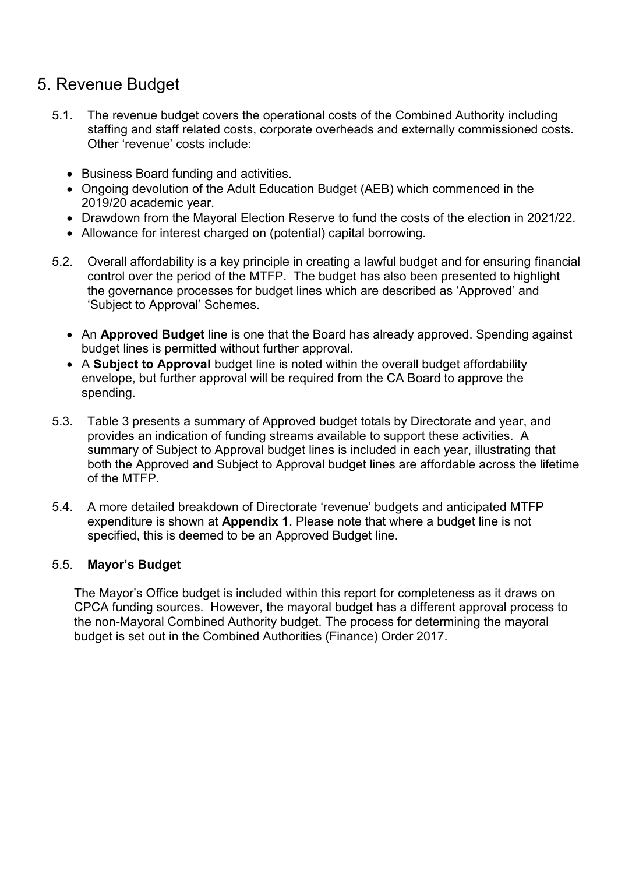# 5. Revenue Budget

- 5.1. The revenue budget covers the operational costs of the Combined Authority including staffing and staff related costs, corporate overheads and externally commissioned costs. Other 'revenue' costs include:
	- Business Board funding and activities.
	- Ongoing devolution of the Adult Education Budget (AEB) which commenced in the 2019/20 academic year.
	- Drawdown from the Mayoral Election Reserve to fund the costs of the election in 2021/22.
	- Allowance for interest charged on (potential) capital borrowing.
- 5.2. Overall affordability is a key principle in creating a lawful budget and for ensuring financial control over the period of the MTFP. The budget has also been presented to highlight the governance processes for budget lines which are described as 'Approved' and 'Subject to Approval' Schemes.
	- An **Approved Budget** line is one that the Board has already approved. Spending against budget lines is permitted without further approval.
	- A **Subject to Approval** budget line is noted within the overall budget affordability envelope, but further approval will be required from the CA Board to approve the spending.
- 5.3. Table 3 presents a summary of Approved budget totals by Directorate and year, and provides an indication of funding streams available to support these activities. A summary of Subject to Approval budget lines is included in each year, illustrating that both the Approved and Subject to Approval budget lines are affordable across the lifetime of the MTFP.
- 5.4. A more detailed breakdown of Directorate 'revenue' budgets and anticipated MTFP expenditure is shown at **Appendix 1**. Please note that where a budget line is not specified, this is deemed to be an Approved Budget line.

## 5.5. **Mayor's Budget**

The Mayor's Office budget is included within this report for completeness as it draws on CPCA funding sources. However, the mayoral budget has a different approval process to the non-Mayoral Combined Authority budget. The process for determining the mayoral budget is set out in the Combined Authorities (Finance) Order 2017.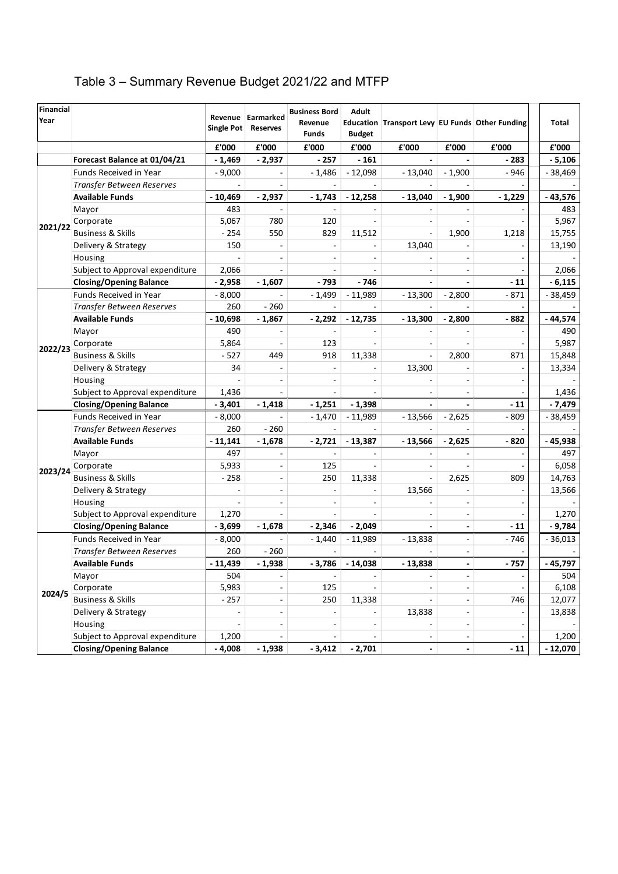# Table 3 – Summary Revenue Budget 2021/22 and MTFP

| <b>Financial</b><br>Year |                                 | Single Pot | Revenue Earmarked<br><b>Reserves</b> | <b>Business Bord</b><br>Revenue<br>Funds | <b>Adult</b><br><b>Budget</b> | Education Transport Levy EU Funds Other Funding |                          |          | <b>Total</b> |
|--------------------------|---------------------------------|------------|--------------------------------------|------------------------------------------|-------------------------------|-------------------------------------------------|--------------------------|----------|--------------|
|                          |                                 | £'000      | £'000                                | £'000                                    | £'000                         | £'000                                           | £'000                    | £'000    | £'000        |
|                          | Forecast Balance at 01/04/21    | $-1,469$   | $-2,937$                             | $-257$                                   | $-161$                        |                                                 |                          | - 283    | $-5,106$     |
|                          | <b>Funds Received in Year</b>   | $-9,000$   |                                      | $-1,486$                                 | $-12,098$                     | $-13,040$                                       | $-1,900$                 | - 946    | - 38,469     |
|                          | Transfer Between Reserves       |            |                                      |                                          |                               |                                                 |                          |          |              |
|                          | Available Funds                 | $-10,469$  | $-2,937$                             | $-1,743$                                 | $-12,258$                     | $-13,040$                                       | $-1,900$                 | $-1,229$ | $-43,576$    |
|                          | Mayor                           | 483        |                                      |                                          |                               |                                                 |                          |          | 483          |
|                          | Corporate                       | 5,067      | 780                                  | 120                                      |                               | $\overline{\phantom{a}}$                        |                          |          | 5,967        |
| 2021/22                  | <b>Business &amp; Skills</b>    | $-254$     | 550                                  | 829                                      | 11,512                        | $\overline{a}$                                  | 1,900                    | 1,218    | 15,755       |
|                          | Delivery & Strategy             | 150        |                                      | ÷,                                       |                               | 13,040                                          |                          |          | 13,190       |
|                          | Housing                         |            |                                      | $\sim$                                   | $\overline{\phantom{a}}$      |                                                 | $\sim$                   |          |              |
|                          | Subject to Approval expenditure | 2,066      |                                      |                                          |                               | $\overline{\phantom{a}}$                        | $\sim$                   |          | 2,066        |
|                          | <b>Closing/Opening Balance</b>  | $-2,958$   | $-1,607$                             | $-793$                                   | $-746$                        |                                                 |                          | $-11$    | $-6,115$     |
|                          | Funds Received in Year          | $-8,000$   |                                      | $-1,499$                                 | $-11,989$                     | $-13,300$                                       | $-2,800$                 | $-871$   | $-38,459$    |
|                          | Transfer Between Reserves       | 260        | $-260$                               |                                          |                               |                                                 |                          |          |              |
|                          | <b>Available Funds</b>          | $-10,698$  | $-1,867$                             | $-2,292$                                 | $-12,735$                     | $-13,300$                                       | $-2,800$                 | $-882$   | $-44,574$    |
|                          | Mayor                           | 490        |                                      |                                          |                               |                                                 |                          |          | 490          |
| 2022/23                  | Corporate                       | 5,864      |                                      | 123                                      |                               |                                                 |                          |          | 5,987        |
|                          | <b>Business &amp; Skills</b>    | $-527$     | 449                                  | 918                                      | 11,338                        |                                                 | 2,800                    | 871      | 15,848       |
|                          | Delivery & Strategy             | 34         |                                      |                                          |                               | 13,300                                          |                          |          | 13,334       |
|                          | Housing                         |            |                                      |                                          |                               |                                                 |                          |          |              |
|                          | Subject to Approval expenditure | 1,436      |                                      |                                          |                               |                                                 |                          |          | 1,436        |
|                          | <b>Closing/Opening Balance</b>  | $-3,401$   | $-1,418$                             | $-1,251$                                 | $-1,398$                      |                                                 |                          | $-11$    | - 7,479      |
|                          | Funds Received in Year          | $-8,000$   |                                      | $-1,470$                                 | $-11,989$                     | $-13,566$                                       | $-2,625$                 | $-809$   | 38,459       |
|                          | Transfer Between Reserves       | 260        | $-260$                               |                                          |                               |                                                 |                          |          |              |
|                          | <b>Available Funds</b>          | $-11,141$  | $-1,678$                             | $-2,721$                                 | $-13,387$                     | $-13,566$                                       | $-2,625$                 | $-820$   | - 45,938     |
|                          | Mayor                           | 497        |                                      |                                          |                               |                                                 |                          |          | 497          |
| 2023/24                  | Corporate                       | 5,933      |                                      | 125                                      |                               |                                                 |                          |          | 6,058        |
|                          | <b>Business &amp; Skills</b>    | $-258$     |                                      | 250                                      | 11,338                        |                                                 | 2,625                    | 809      | 14,763       |
|                          | Delivery & Strategy             |            |                                      |                                          |                               | 13,566                                          |                          |          | 13,566       |
|                          | Housing                         |            |                                      |                                          |                               |                                                 |                          |          |              |
|                          | Subject to Approval expenditure | 1,270      |                                      | $\overline{a}$                           |                               | $\overline{\phantom{a}}$                        | L.                       |          | 1,270        |
|                          | <b>Closing/Opening Balance</b>  | $-3,699$   | $-1,678$                             | $-2,346$                                 | $-2,049$                      |                                                 | $\overline{a}$           | $-11$    | $-9,784$     |
|                          | Funds Received in Year          | $-8,000$   |                                      | $-1,440$                                 | $-11,989$                     | $-13,838$                                       | ÷,                       | $-746$   | $-36,013$    |
|                          | Transfer Between Reserves       | 260        | $-260$                               | $\sim$                                   |                               |                                                 | $\overline{\phantom{a}}$ |          |              |
|                          | <b>Available Funds</b>          | 11,439     | $-1,938$                             | 3,786                                    | $-14,038$                     | $-13.838$                                       |                          | - 757    | 45,797       |
|                          | Mayor                           | 504        |                                      | $\overline{\phantom{a}}$                 |                               | $\overline{\phantom{a}}$                        | $\overline{\phantom{a}}$ |          | 504          |
| 2024/5                   | Corporate                       | 5,983      |                                      | 125                                      |                               | ٠                                               |                          |          | 6,108        |
|                          | <b>Business &amp; Skills</b>    | $-257$     |                                      | 250                                      | 11,338                        |                                                 |                          | 746      | 12,077       |
|                          | Delivery & Strategy             |            |                                      | $\overline{\phantom{a}}$                 |                               | 13,838                                          |                          |          | 13,838       |
|                          | Housing                         |            |                                      |                                          |                               |                                                 |                          |          |              |
|                          | Subject to Approval expenditure | 1,200      |                                      |                                          |                               | $\overline{\phantom{0}}$                        |                          |          | 1,200        |
|                          | <b>Closing/Opening Balance</b>  | $-4,008$   | $-1,938$                             | $-3,412$                                 | $-2,701$                      | $\overline{\phantom{a}}$                        |                          | $-11$    | $-12,070$    |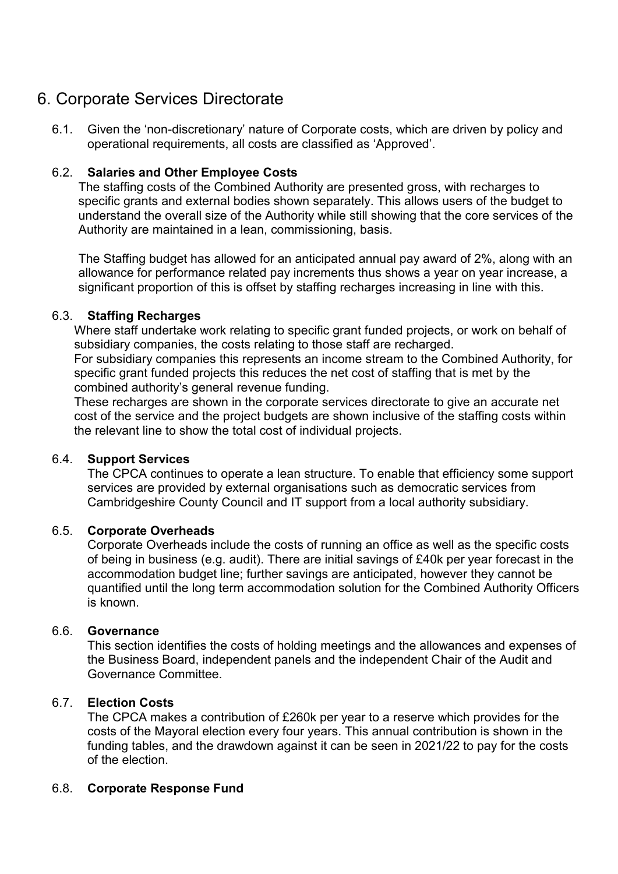# 6. Corporate Services Directorate

6.1. Given the 'non-discretionary' nature of Corporate costs, which are driven by policy and operational requirements, all costs are classified as 'Approved'.

## 6.2. **Salaries and Other Employee Costs**

The staffing costs of the Combined Authority are presented gross, with recharges to specific grants and external bodies shown separately. This allows users of the budget to understand the overall size of the Authority while still showing that the core services of the Authority are maintained in a lean, commissioning, basis.

The Staffing budget has allowed for an anticipated annual pay award of 2%, along with an allowance for performance related pay increments thus shows a year on year increase, a significant proportion of this is offset by staffing recharges increasing in line with this.

## 6.3. **Staffing Recharges**

Where staff undertake work relating to specific grant funded projects, or work on behalf of subsidiary companies, the costs relating to those staff are recharged.

For subsidiary companies this represents an income stream to the Combined Authority, for specific grant funded projects this reduces the net cost of staffing that is met by the combined authority's general revenue funding.

These recharges are shown in the corporate services directorate to give an accurate net cost of the service and the project budgets are shown inclusive of the staffing costs within the relevant line to show the total cost of individual projects.

## 6.4. **Support Services**

The CPCA continues to operate a lean structure. To enable that efficiency some support services are provided by external organisations such as democratic services from Cambridgeshire County Council and IT support from a local authority subsidiary.

## 6.5. **Corporate Overheads**

Corporate Overheads include the costs of running an office as well as the specific costs of being in business (e.g. audit). There are initial savings of £40k per year forecast in the accommodation budget line; further savings are anticipated, however they cannot be quantified until the long term accommodation solution for the Combined Authority Officers is known.

## 6.6. **Governance**

This section identifies the costs of holding meetings and the allowances and expenses of the Business Board, independent panels and the independent Chair of the Audit and Governance Committee.

## 6.7. **Election Costs**

The CPCA makes a contribution of £260k per year to a reserve which provides for the costs of the Mayoral election every four years. This annual contribution is shown in the funding tables, and the drawdown against it can be seen in 2021/22 to pay for the costs of the election.

## 6.8. **Corporate Response Fund**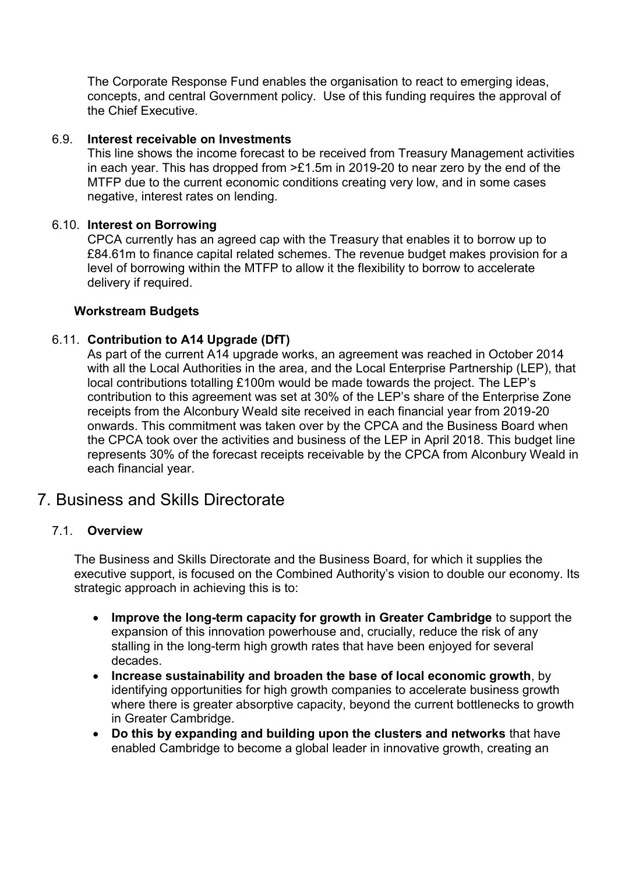The Corporate Response Fund enables the organisation to react to emerging ideas, concepts, and central Government policy. Use of this funding requires the approval of the Chief Executive.

## 6.9. **Interest receivable on Investments**

This line shows the income forecast to be received from Treasury Management activities in each year. This has dropped from >£1.5m in 2019-20 to near zero by the end of the MTFP due to the current economic conditions creating very low, and in some cases negative, interest rates on lending.

#### 6.10. **Interest on Borrowing**

CPCA currently has an agreed cap with the Treasury that enables it to borrow up to £84.61m to finance capital related schemes. The revenue budget makes provision for a level of borrowing within the MTFP to allow it the flexibility to borrow to accelerate delivery if required.

#### **Workstream Budgets**

## 6.11. **Contribution to A14 Upgrade (DfT)**

As part of the current A14 upgrade works, an agreement was reached in October 2014 with all the Local Authorities in the area, and the Local Enterprise Partnership (LEP), that local contributions totalling £100m would be made towards the project. The LEP's contribution to this agreement was set at 30% of the LEP's share of the Enterprise Zone receipts from the Alconbury Weald site received in each financial year from 2019-20 onwards. This commitment was taken over by the CPCA and the Business Board when the CPCA took over the activities and business of the LEP in April 2018. This budget line represents 30% of the forecast receipts receivable by the CPCA from Alconbury Weald in each financial year.

## 7. Business and Skills Directorate

## 7.1. **Overview**

The Business and Skills Directorate and the Business Board, for which it supplies the executive support, is focused on the Combined Authority's vision to double our economy. Its strategic approach in achieving this is to:

- **Improve the long-term capacity for growth in Greater Cambridge** to support the expansion of this innovation powerhouse and, crucially, reduce the risk of any stalling in the long-term high growth rates that have been enjoyed for several decades.
- **Increase sustainability and broaden the base of local economic growth**, by identifying opportunities for high growth companies to accelerate business growth where there is greater absorptive capacity, beyond the current bottlenecks to growth in Greater Cambridge.
- **Do this by expanding and building upon the clusters and networks** that have enabled Cambridge to become a global leader in innovative growth, creating an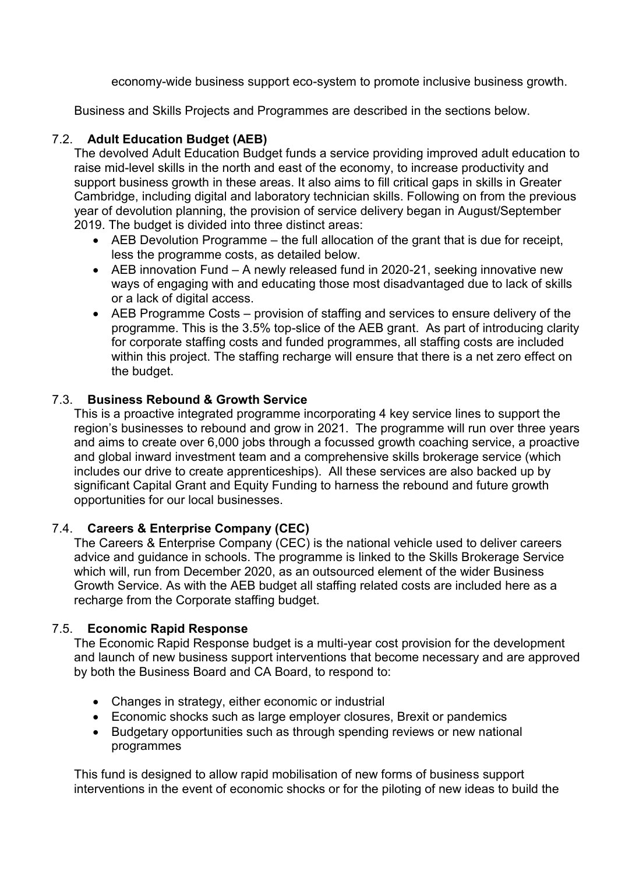economy-wide business support eco-system to promote inclusive business growth.

Business and Skills Projects and Programmes are described in the sections below.

## 7.2. **Adult Education Budget (AEB)**

The devolved Adult Education Budget funds a service providing improved adult education to raise mid-level skills in the north and east of the economy, to increase productivity and support business growth in these areas. It also aims to fill critical gaps in skills in Greater Cambridge, including digital and laboratory technician skills. Following on from the previous year of devolution planning, the provision of service delivery began in August/September 2019. The budget is divided into three distinct areas:

- AEB Devolution Programme the full allocation of the grant that is due for receipt, less the programme costs, as detailed below.
- AEB innovation Fund A newly released fund in 2020-21, seeking innovative new ways of engaging with and educating those most disadvantaged due to lack of skills or a lack of digital access.
- AEB Programme Costs provision of staffing and services to ensure delivery of the programme. This is the 3.5% top-slice of the AEB grant. As part of introducing clarity for corporate staffing costs and funded programmes, all staffing costs are included within this project. The staffing recharge will ensure that there is a net zero effect on the budget.

## 7.3. **Business Rebound & Growth Service**

This is a proactive integrated programme incorporating 4 key service lines to support the region's businesses to rebound and grow in 2021. The programme will run over three years and aims to create over 6,000 jobs through a focussed growth coaching service, a proactive and global inward investment team and a comprehensive skills brokerage service (which includes our drive to create apprenticeships). All these services are also backed up by significant Capital Grant and Equity Funding to harness the rebound and future growth opportunities for our local businesses.

## 7.4. **Careers & Enterprise Company (CEC)**

The Careers & Enterprise Company (CEC) is the national vehicle used to deliver careers advice and guidance in schools. The programme is linked to the Skills Brokerage Service which will, run from December 2020, as an outsourced element of the wider Business Growth Service. As with the AEB budget all staffing related costs are included here as a recharge from the Corporate staffing budget.

## 7.5. **Economic Rapid Response**

The Economic Rapid Response budget is a multi-year cost provision for the development and launch of new business support interventions that become necessary and are approved by both the Business Board and CA Board, to respond to:

- Changes in strategy, either economic or industrial
- Economic shocks such as large employer closures, Brexit or pandemics
- Budgetary opportunities such as through spending reviews or new national programmes

This fund is designed to allow rapid mobilisation of new forms of business support interventions in the event of economic shocks or for the piloting of new ideas to build the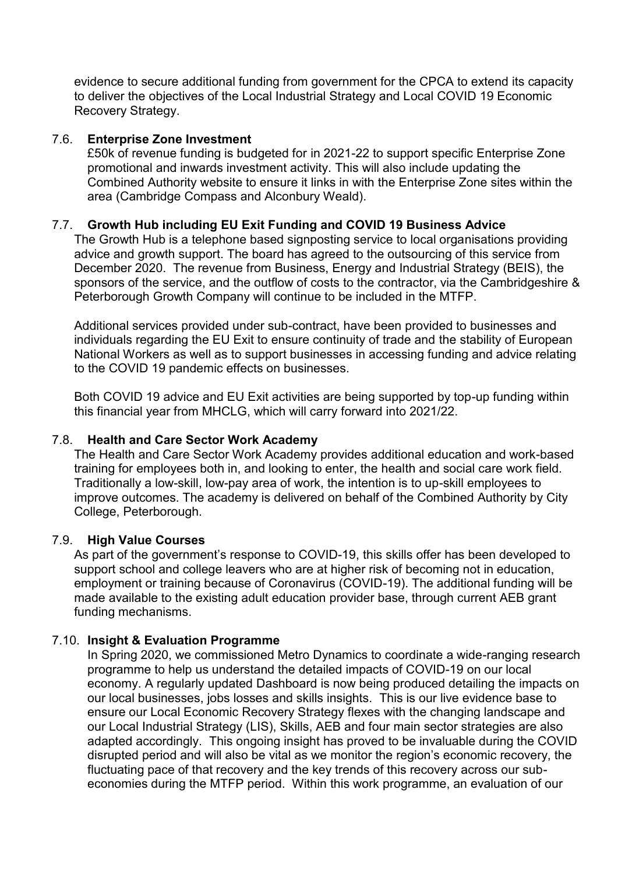evidence to secure additional funding from government for the CPCA to extend its capacity to deliver the objectives of the Local Industrial Strategy and Local COVID 19 Economic Recovery Strategy.

## 7.6. **Enterprise Zone Investment**

£50k of revenue funding is budgeted for in 2021-22 to support specific Enterprise Zone promotional and inwards investment activity. This will also include updating the Combined Authority website to ensure it links in with the Enterprise Zone sites within the area (Cambridge Compass and Alconbury Weald).

## 7.7. **Growth Hub including EU Exit Funding and COVID 19 Business Advice**

The Growth Hub is a telephone based signposting service to local organisations providing advice and growth support. The board has agreed to the outsourcing of this service from December 2020. The revenue from Business, Energy and Industrial Strategy (BEIS), the sponsors of the service, and the outflow of costs to the contractor, via the Cambridgeshire & Peterborough Growth Company will continue to be included in the MTFP.

Additional services provided under sub-contract, have been provided to businesses and individuals regarding the EU Exit to ensure continuity of trade and the stability of European National Workers as well as to support businesses in accessing funding and advice relating to the COVID 19 pandemic effects on businesses.

Both COVID 19 advice and EU Exit activities are being supported by top-up funding within this financial year from MHCLG, which will carry forward into 2021/22.

#### 7.8. **Health and Care Sector Work Academy**

The Health and Care Sector Work Academy provides additional education and work-based training for employees both in, and looking to enter, the health and social care work field. Traditionally a low-skill, low-pay area of work, the intention is to up-skill employees to improve outcomes. The academy is delivered on behalf of the Combined Authority by City College, Peterborough.

#### 7.9. **High Value Courses**

As part of the government's response to COVID-19, this skills offer has been developed to support school and college leavers who are at higher risk of becoming not in education, employment or training because of Coronavirus (COVID-19). The additional funding will be made available to the existing adult education provider base, through current AEB grant funding mechanisms.

#### 7.10. **Insight & Evaluation Programme**

In Spring 2020, we commissioned Metro Dynamics to coordinate a wide-ranging research programme to help us understand the detailed impacts of COVID-19 on our local economy. A regularly updated Dashboard is now being produced detailing the impacts on our local businesses, jobs losses and skills insights. This is our live evidence base to ensure our Local Economic Recovery Strategy flexes with the changing landscape and our Local Industrial Strategy (LIS), Skills, AEB and four main sector strategies are also adapted accordingly. This ongoing insight has proved to be invaluable during the COVID disrupted period and will also be vital as we monitor the region's economic recovery, the fluctuating pace of that recovery and the key trends of this recovery across our subeconomies during the MTFP period. Within this work programme, an evaluation of our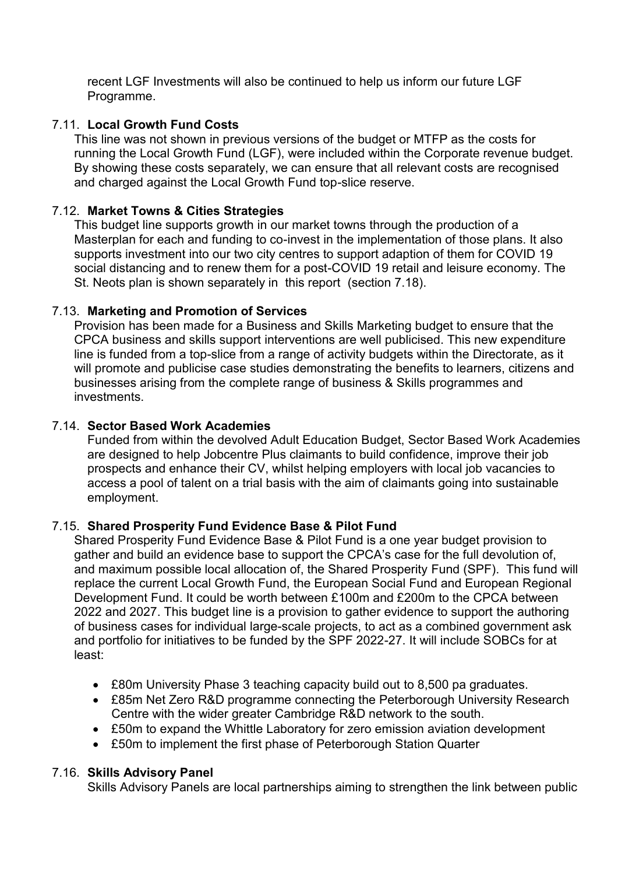recent LGF Investments will also be continued to help us inform our future LGF Programme.

## 7.11. **Local Growth Fund Costs**

This line was not shown in previous versions of the budget or MTFP as the costs for running the Local Growth Fund (LGF), were included within the Corporate revenue budget. By showing these costs separately, we can ensure that all relevant costs are recognised and charged against the Local Growth Fund top-slice reserve.

## 7.12. **Market Towns & Cities Strategies**

This budget line supports growth in our market towns through the production of a Masterplan for each and funding to co-invest in the implementation of those plans. It also supports investment into our two city centres to support adaption of them for COVID 19 social distancing and to renew them for a post-COVID 19 retail and leisure economy. The St. Neots plan is shown separately in this report (section 7.18).

## 7.13. **Marketing and Promotion of Services**

Provision has been made for a Business and Skills Marketing budget to ensure that the CPCA business and skills support interventions are well publicised. This new expenditure line is funded from a top-slice from a range of activity budgets within the Directorate, as it will promote and publicise case studies demonstrating the benefits to learners, citizens and businesses arising from the complete range of business & Skills programmes and investments.

## 7.14. **Sector Based Work Academies**

Funded from within the devolved Adult Education Budget, Sector Based Work Academies are designed to help Jobcentre Plus claimants to build confidence, improve their job prospects and enhance their CV, whilst helping employers with local job vacancies to access a pool of talent on a trial basis with the aim of claimants going into sustainable employment.

## 7.15. **Shared Prosperity Fund Evidence Base & Pilot Fund**

Shared Prosperity Fund Evidence Base & Pilot Fund is a one year budget provision to gather and build an evidence base to support the CPCA's case for the full devolution of, and maximum possible local allocation of, the Shared Prosperity Fund (SPF). This fund will replace the current Local Growth Fund, the European Social Fund and European Regional Development Fund. It could be worth between £100m and £200m to the CPCA between 2022 and 2027. This budget line is a provision to gather evidence to support the authoring of business cases for individual large-scale projects, to act as a combined government ask and portfolio for initiatives to be funded by the SPF 2022-27. It will include SOBCs for at least:

- £80m University Phase 3 teaching capacity build out to 8,500 pa graduates.
- £85m Net Zero R&D programme connecting the Peterborough University Research Centre with the wider greater Cambridge R&D network to the south.
- £50m to expand the Whittle Laboratory for zero emission aviation development
- £50m to implement the first phase of Peterborough Station Quarter

## 7.16. **Skills Advisory Panel**

Skills Advisory Panels are local partnerships aiming to strengthen the link between public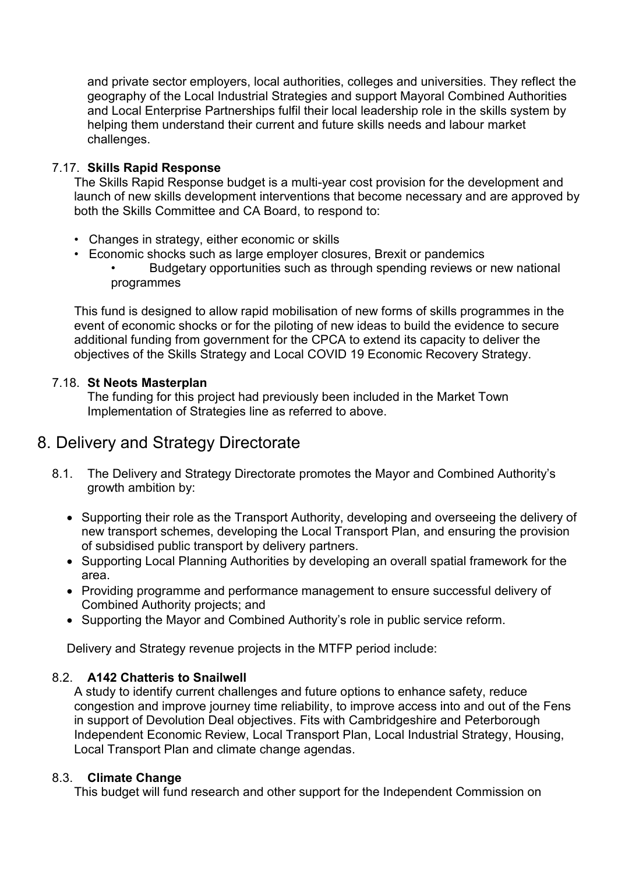and private sector employers, local authorities, colleges and universities. They reflect the geography of the Local Industrial Strategies and support Mayoral Combined Authorities and Local Enterprise Partnerships fulfil their local leadership role in the skills system by helping them understand their current and future skills needs and labour market challenges.

## 7.17. **Skills Rapid Response**

The Skills Rapid Response budget is a multi-year cost provision for the development and launch of new skills development interventions that become necessary and are approved by both the Skills Committee and CA Board, to respond to:

- Changes in strategy, either economic or skills
- Economic shocks such as large employer closures, Brexit or pandemics • Budgetary opportunities such as through spending reviews or new national programmes

This fund is designed to allow rapid mobilisation of new forms of skills programmes in the event of economic shocks or for the piloting of new ideas to build the evidence to secure additional funding from government for the CPCA to extend its capacity to deliver the objectives of the Skills Strategy and Local COVID 19 Economic Recovery Strategy.

## 7.18. **St Neots Masterplan**

The funding for this project had previously been included in the Market Town Implementation of Strategies line as referred to above.

# 8. Delivery and Strategy Directorate

- 8.1. The Delivery and Strategy Directorate promotes the Mayor and Combined Authority's growth ambition by:
	- Supporting their role as the Transport Authority, developing and overseeing the delivery of new transport schemes, developing the Local Transport Plan, and ensuring the provision of subsidised public transport by delivery partners.
	- Supporting Local Planning Authorities by developing an overall spatial framework for the area.
	- Providing programme and performance management to ensure successful delivery of Combined Authority projects; and
	- Supporting the Mayor and Combined Authority's role in public service reform.

Delivery and Strategy revenue projects in the MTFP period include:

## 8.2. **A142 Chatteris to Snailwell**

A study to identify current challenges and future options to enhance safety, reduce congestion and improve journey time reliability, to improve access into and out of the Fens in support of Devolution Deal objectives. Fits with Cambridgeshire and Peterborough Independent Economic Review, Local Transport Plan, Local Industrial Strategy, Housing, Local Transport Plan and climate change agendas.

## 8.3. **Climate Change**

This budget will fund research and other support for the Independent Commission on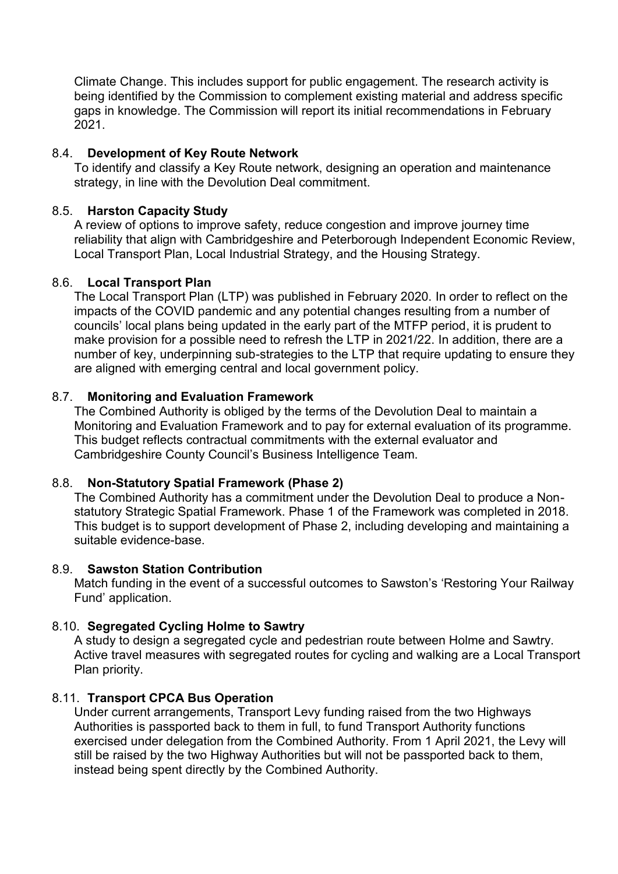Climate Change. This includes support for public engagement. The research activity is being identified by the Commission to complement existing material and address specific gaps in knowledge. The Commission will report its initial recommendations in February 2021.

## 8.4. **Development of Key Route Network**

To identify and classify a Key Route network, designing an operation and maintenance strategy, in line with the Devolution Deal commitment.

## 8.5. **Harston Capacity Study**

A review of options to improve safety, reduce congestion and improve journey time reliability that align with Cambridgeshire and Peterborough Independent Economic Review, Local Transport Plan, Local Industrial Strategy, and the Housing Strategy.

## 8.6. **Local Transport Plan**

The Local Transport Plan (LTP) was published in February 2020. In order to reflect on the impacts of the COVID pandemic and any potential changes resulting from a number of councils' local plans being updated in the early part of the MTFP period, it is prudent to make provision for a possible need to refresh the LTP in 2021/22. In addition, there are a number of key, underpinning sub-strategies to the LTP that require updating to ensure they are aligned with emerging central and local government policy.

#### 8.7. **Monitoring and Evaluation Framework**

The Combined Authority is obliged by the terms of the Devolution Deal to maintain a Monitoring and Evaluation Framework and to pay for external evaluation of its programme. This budget reflects contractual commitments with the external evaluator and Cambridgeshire County Council's Business Intelligence Team.

## 8.8. **Non-Statutory Spatial Framework (Phase 2)**

The Combined Authority has a commitment under the Devolution Deal to produce a Nonstatutory Strategic Spatial Framework. Phase 1 of the Framework was completed in 2018. This budget is to support development of Phase 2, including developing and maintaining a suitable evidence-base.

#### 8.9. **Sawston Station Contribution**

Match funding in the event of a successful outcomes to Sawston's 'Restoring Your Railway Fund' application.

## 8.10. **Segregated Cycling Holme to Sawtry**

A study to design a segregated cycle and pedestrian route between Holme and Sawtry. Active travel measures with segregated routes for cycling and walking are a Local Transport Plan priority.

## 8.11. **Transport CPCA Bus Operation**

Under current arrangements, Transport Levy funding raised from the two Highways Authorities is passported back to them in full, to fund Transport Authority functions exercised under delegation from the Combined Authority. From 1 April 2021, the Levy will still be raised by the two Highway Authorities but will not be passported back to them, instead being spent directly by the Combined Authority.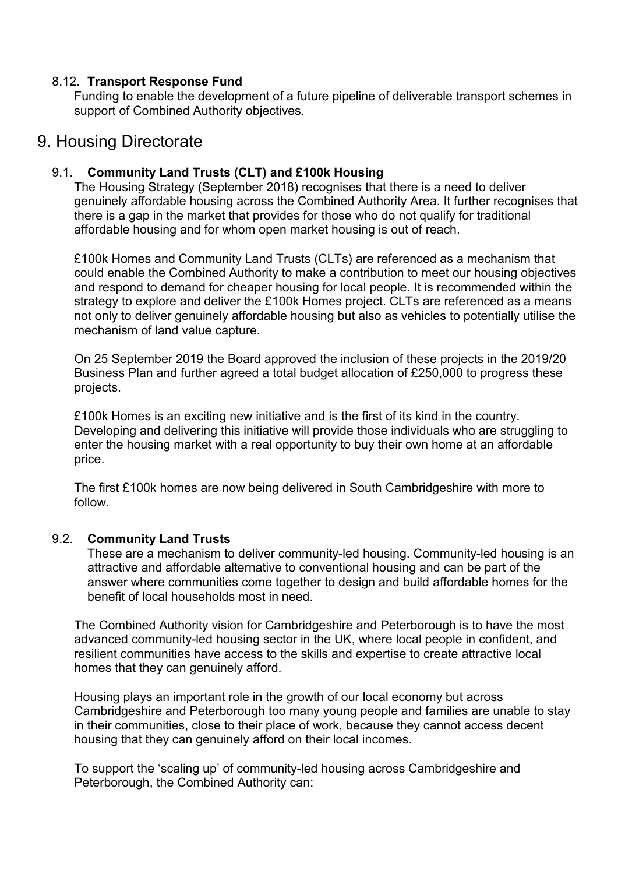## 8.12. **Transport Response Fund**

Funding to enable the development of a future pipeline of deliverable transport schemes in support of Combined Authority objectives.

## 9. Housing Directorate

## 9.1. **Community Land Trusts (CLT) and £100k Housing**

The Housing Strategy (September 2018) recognises that there is a need to deliver genuinely affordable housing across the Combined Authority Area. It further recognises that there is a gap in the market that provides for those who do not qualify for traditional affordable housing and for whom open market housing is out of reach.

£100k Homes and Community Land Trusts (CLTs) are referenced as a mechanism that could enable the Combined Authority to make a contribution to meet our housing objectives and respond to demand for cheaper housing for local people. It is recommended within the strategy to explore and deliver the £100k Homes project. CLTs are referenced as a means not only to deliver genuinely affordable housing but also as vehicles to potentially utilise the mechanism of land value capture.

On 25 September 2019 the Board approved the inclusion of these projects in the 2019/20 Business Plan and further agreed a total budget allocation of £250,000 to progress these projects.

£100k Homes is an exciting new initiative and is the first of its kind in the country. Developing and delivering this initiative will provide those individuals who are struggling to enter the housing market with a real opportunity to buy their own home at an affordable price.

The first £100k homes are now being delivered in South Cambridgeshire with more to follow.

## 9.2. **Community Land Trusts**

These are a mechanism to deliver community-led housing. Community-led housing is an attractive and affordable alternative to conventional housing and can be part of the answer where communities come together to design and build affordable homes for the benefit of local households most in need.

The Combined Authority vision for Cambridgeshire and Peterborough is to have the most advanced community-led housing sector in the UK, where local people in confident, and resilient communities have access to the skills and expertise to create attractive local homes that they can genuinely afford.

Housing plays an important role in the growth of our local economy but across Cambridgeshire and Peterborough too many young people and families are unable to stay in their communities, close to their place of work, because they cannot access decent housing that they can genuinely afford on their local incomes.

To support the 'scaling up' of community-led housing across Cambridgeshire and Peterborough, the Combined Authority can: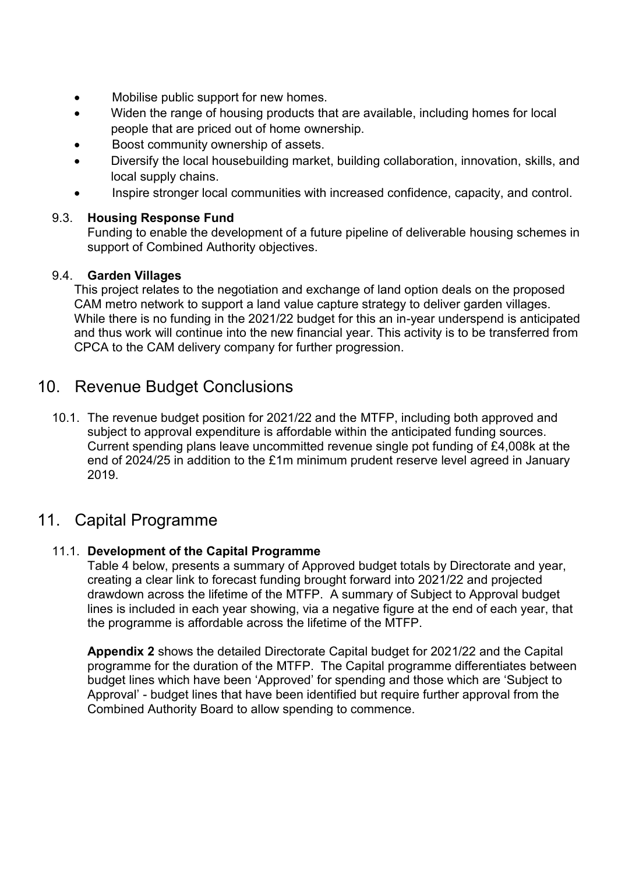- Mobilise public support for new homes.
- Widen the range of housing products that are available, including homes for local people that are priced out of home ownership.
- Boost community ownership of assets.
- Diversify the local housebuilding market, building collaboration, innovation, skills, and local supply chains.
- Inspire stronger local communities with increased confidence, capacity, and control.

## 9.3. **Housing Response Fund**

Funding to enable the development of a future pipeline of deliverable housing schemes in support of Combined Authority objectives.

## 9.4. **Garden Villages**

This project relates to the negotiation and exchange of land option deals on the proposed CAM metro network to support a land value capture strategy to deliver garden villages. While there is no funding in the 2021/22 budget for this an in-year underspend is anticipated and thus work will continue into the new financial year. This activity is to be transferred from CPCA to the CAM delivery company for further progression.

# 10. Revenue Budget Conclusions

10.1. The revenue budget position for 2021/22 and the MTFP, including both approved and subject to approval expenditure is affordable within the anticipated funding sources. Current spending plans leave uncommitted revenue single pot funding of £4,008k at the end of 2024/25 in addition to the £1m minimum prudent reserve level agreed in January 2019.

## 11. Capital Programme

## 11.1. **Development of the Capital Programme**

Table 4 below, presents a summary of Approved budget totals by Directorate and year, creating a clear link to forecast funding brought forward into 2021/22 and projected drawdown across the lifetime of the MTFP. A summary of Subject to Approval budget lines is included in each year showing, via a negative figure at the end of each year, that the programme is affordable across the lifetime of the MTFP.

**Appendix 2** shows the detailed Directorate Capital budget for 2021/22 and the Capital programme for the duration of the MTFP. The Capital programme differentiates between budget lines which have been 'Approved' for spending and those which are 'Subject to Approval' - budget lines that have been identified but require further approval from the Combined Authority Board to allow spending to commence.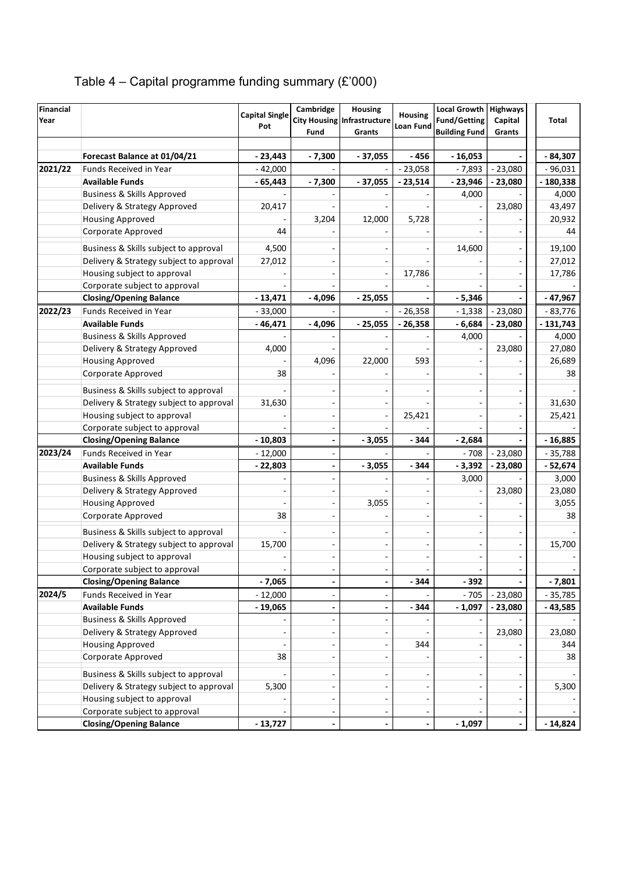| Table 4 – Capital programme funding summary $(E'000)$ |  |  |
|-------------------------------------------------------|--|--|
|                                                       |  |  |

| Financial |                                                               | <b>Capital Single</b>  | Cambridge | Housing                     | <b>Housing</b>   | Local Growth   Highways |           |            |
|-----------|---------------------------------------------------------------|------------------------|-----------|-----------------------------|------------------|-------------------------|-----------|------------|
| Year      |                                                               | Pot                    |           | City Housing Infrastructure | <b>Loan Fund</b> | <b>Fund/Getting</b>     | Capital   | Total      |
|           |                                                               |                        | Fund      | Grants                      |                  | <b>Building Fund</b>    | Grants    |            |
|           |                                                               |                        |           | $-37,055$                   | $-456$           |                         |           |            |
|           | Forecast Balance at 01/04/21<br><b>Funds Received in Year</b> | $-23,443$<br>$-42.000$ | $-7,300$  |                             |                  | $-16,053$               | $-23,080$ | $-84,307$  |
| 2021/22   | <b>Available Funds</b>                                        |                        |           |                             | $-23,058$        | $-7,893$                |           | $-96,031$  |
|           |                                                               | $-65,443$              | $-7,300$  | $-37,055$                   | $-23,514$        | $-23,946$               | 23,080    | $-180,338$ |
|           | <b>Business &amp; Skills Approved</b>                         |                        |           |                             |                  | 4,000                   |           | 4,000      |
|           | Delivery & Strategy Approved                                  | 20,417                 |           |                             |                  |                         | 23,080    | 43,497     |
|           | <b>Housing Approved</b>                                       |                        | 3,204     | 12,000                      | 5,728            |                         |           | 20,932     |
|           | Corporate Approved                                            | 44                     |           |                             |                  |                         |           | 44         |
|           | Business & Skills subject to approval                         | 4,500                  |           |                             |                  | 14,600                  | ÷,        | 19,100     |
|           | Delivery & Strategy subject to approval                       | 27,012                 |           |                             |                  |                         |           | 27,012     |
|           | Housing subject to approval                                   |                        |           |                             | 17,786           |                         |           | 17,786     |
|           | Corporate subject to approval                                 |                        |           |                             |                  |                         |           |            |
|           | <b>Closing/Opening Balance</b>                                | $-13,471$              | $-4,096$  | $-25,055$                   |                  | $-5,346$                |           | - 47,967   |
| 2022/23   | Funds Received in Year                                        | $-33,000$              |           |                             | $-26,358$        | $-1,338$                | $-23,080$ | $-83,776$  |
|           | <b>Available Funds</b>                                        | $-46,471$              | $-4,096$  | $-25,055$                   | $-26,358$        | $-6,684$                | - 23,080  | - 131,743  |
|           | <b>Business &amp; Skills Approved</b>                         |                        |           |                             |                  | 4,000                   |           | 4,000      |
|           | Delivery & Strategy Approved                                  | 4,000                  |           |                             |                  |                         | 23,080    | 27,080     |
|           | <b>Housing Approved</b>                                       |                        | 4,096     | 22,000                      | 593              |                         |           | 26,689     |
|           | Corporate Approved                                            | 38                     |           |                             |                  |                         |           | 38         |
|           | Business & Skills subject to approval                         |                        |           |                             |                  |                         |           |            |
|           | Delivery & Strategy subject to approval                       | 31,630                 |           |                             |                  |                         |           | 31,630     |
|           | Housing subject to approval                                   |                        |           |                             |                  |                         |           |            |
|           | Corporate subject to approval                                 |                        |           |                             | 25,421           |                         |           | 25,421     |
|           | <b>Closing/Opening Balance</b>                                | $-10,803$              |           | $-3,055$                    | $-344$           | $-2,684$                |           | $-16,885$  |
| 2023/24   | Funds Received in Year                                        | $-12,000$              |           |                             |                  | $-708$                  | $-23,080$ | $-35,788$  |
|           | <b>Available Funds</b>                                        | $-22,803$              |           | $-3,055$                    | $-344$           | $-3,392$                | - 23,080  | - 52,674   |
|           | <b>Business &amp; Skills Approved</b>                         |                        |           |                             |                  | 3,000                   |           | 3,000      |
|           | Delivery & Strategy Approved                                  |                        |           |                             |                  |                         | 23,080    | 23,080     |
|           | <b>Housing Approved</b>                                       |                        |           | 3,055                       |                  |                         |           | 3,055      |
|           | Corporate Approved                                            | 38                     |           |                             |                  |                         |           | 38         |
|           |                                                               |                        |           |                             |                  |                         |           |            |
|           | Business & Skills subject to approval                         |                        |           |                             |                  |                         |           |            |
|           | Delivery & Strategy subject to approval                       | 15,700                 |           |                             |                  |                         |           | 15,700     |
|           | Housing subject to approval                                   |                        |           |                             |                  |                         |           |            |
|           | Corporate subject to approval                                 |                        |           |                             |                  |                         |           |            |
|           | <b>Closing/Opening Balance</b>                                | $-7,065$               |           |                             | $-344$           | $-392$                  |           | $-7,801$   |
| 2024/5    | Funds Received in Year                                        | $-12,000$              |           |                             |                  | - 705                   | $-23,080$ | $-35,785$  |
|           | <b>Available Funds</b>                                        | $-19,065$              |           | $\overline{\phantom{a}}$    | $-344$           | $-1,097$                | $-23,080$ | - 43,585   |
|           | <b>Business &amp; Skills Approved</b>                         |                        |           |                             |                  |                         |           |            |
|           | Delivery & Strategy Approved                                  |                        |           |                             |                  |                         | 23,080    | 23,080     |
|           | <b>Housing Approved</b>                                       |                        |           |                             | 344              |                         |           | 344        |
|           | Corporate Approved                                            | 38                     |           |                             |                  |                         |           | 38         |
|           | Business & Skills subject to approval                         |                        |           |                             |                  |                         |           |            |
|           | Delivery & Strategy subject to approval                       | 5,300                  |           |                             |                  |                         |           | 5,300      |
|           | Housing subject to approval                                   |                        |           |                             |                  |                         |           |            |
|           | Corporate subject to approval                                 |                        |           |                             |                  |                         |           |            |
|           | <b>Closing/Opening Balance</b>                                | $-13,727$              |           |                             |                  | $-1,097$                |           | $-14,824$  |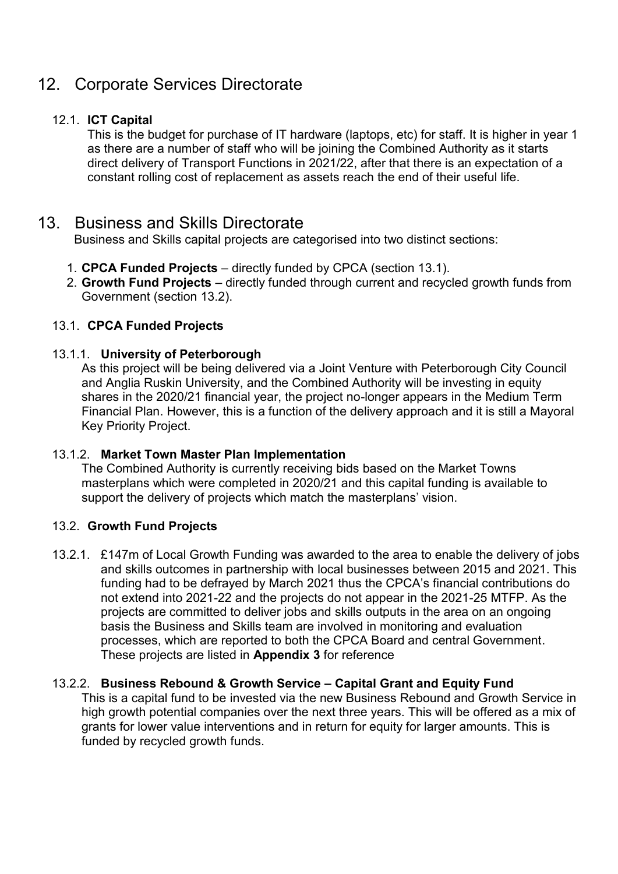# 12. Corporate Services Directorate

## 12.1. **ICT Capital**

This is the budget for purchase of IT hardware (laptops, etc) for staff. It is higher in year 1 as there are a number of staff who will be joining the Combined Authority as it starts direct delivery of Transport Functions in 2021/22, after that there is an expectation of a constant rolling cost of replacement as assets reach the end of their useful life.

## 13. Business and Skills Directorate

Business and Skills capital projects are categorised into two distinct sections:

- 1. **CPCA Funded Projects** directly funded by CPCA (section 13.1).
- 2. **Growth Fund Projects** directly funded through current and recycled growth funds from Government (section [13.2\)](#page-17-0).

## 13.1. **CPCA Funded Projects**

## 13.1.1. **University of Peterborough**

As this project will be being delivered via a Joint Venture with Peterborough City Council and Anglia Ruskin University, and the Combined Authority will be investing in equity shares in the 2020/21 financial year, the project no-longer appears in the Medium Term Financial Plan. However, this is a function of the delivery approach and it is still a Mayoral Key Priority Project.

## 13.1.2. **Market Town Master Plan Implementation**

The Combined Authority is currently receiving bids based on the Market Towns masterplans which were completed in 2020/21 and this capital funding is available to support the delivery of projects which match the masterplans' vision.

## <span id="page-17-0"></span>13.2. **Growth Fund Projects**

13.2.1. £147m of Local Growth Funding was awarded to the area to enable the delivery of jobs and skills outcomes in partnership with local businesses between 2015 and 2021. This funding had to be defrayed by March 2021 thus the CPCA's financial contributions do not extend into 2021-22 and the projects do not appear in the 2021-25 MTFP. As the projects are committed to deliver jobs and skills outputs in the area on an ongoing basis the Business and Skills team are involved in monitoring and evaluation processes, which are reported to both the CPCA Board and central Government. These projects are listed in **Appendix 3** for reference

## 13.2.2. **Business Rebound & Growth Service – Capital Grant and Equity Fund**

This is a capital fund to be invested via the new Business Rebound and Growth Service in high growth potential companies over the next three years. This will be offered as a mix of grants for lower value interventions and in return for equity for larger amounts. This is funded by recycled growth funds.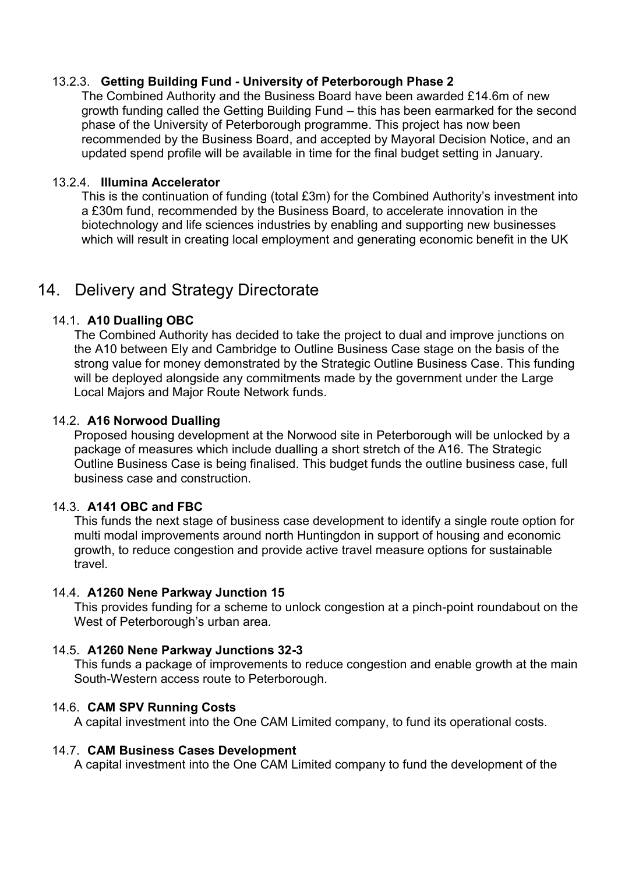## 13.2.3. **Getting Building Fund - University of Peterborough Phase 2**

The Combined Authority and the Business Board have been awarded £14.6m of new growth funding called the Getting Building Fund – this has been earmarked for the second phase of the University of Peterborough programme. This project has now been recommended by the Business Board, and accepted by Mayoral Decision Notice, and an updated spend profile will be available in time for the final budget setting in January.

## 13.2.4. **Illumina Accelerator**

This is the continuation of funding (total £3m) for the Combined Authority's investment into a £30m fund, recommended by the Business Board, to accelerate innovation in the biotechnology and life sciences industries by enabling and supporting new businesses which will result in creating local employment and generating economic benefit in the UK

## 14. Delivery and Strategy Directorate

## 14.1. **A10 Dualling OBC**

The Combined Authority has decided to take the project to dual and improve junctions on the A10 between Ely and Cambridge to Outline Business Case stage on the basis of the strong value for money demonstrated by the Strategic Outline Business Case. This funding will be deployed alongside any commitments made by the government under the Large Local Majors and Major Route Network funds.

## 14.2. **A16 Norwood Dualling**

Proposed housing development at the Norwood site in Peterborough will be unlocked by a package of measures which include dualling a short stretch of the A16. The Strategic Outline Business Case is being finalised. This budget funds the outline business case, full business case and construction.

## 14.3. **A141 OBC and FBC**

This funds the next stage of business case development to identify a single route option for multi modal improvements around north Huntingdon in support of housing and economic growth, to reduce congestion and provide active travel measure options for sustainable travel.

## 14.4. **A1260 Nene Parkway Junction 15**

This provides funding for a scheme to unlock congestion at a pinch-point roundabout on the West of Peterborough's urban area.

## 14.5. **A1260 Nene Parkway Junctions 32-3**

This funds a package of improvements to reduce congestion and enable growth at the main South-Western access route to Peterborough.

## 14.6. **CAM SPV Running Costs**

A capital investment into the One CAM Limited company, to fund its operational costs.

## 14.7. **CAM Business Cases Development**

A capital investment into the One CAM Limited company to fund the development of the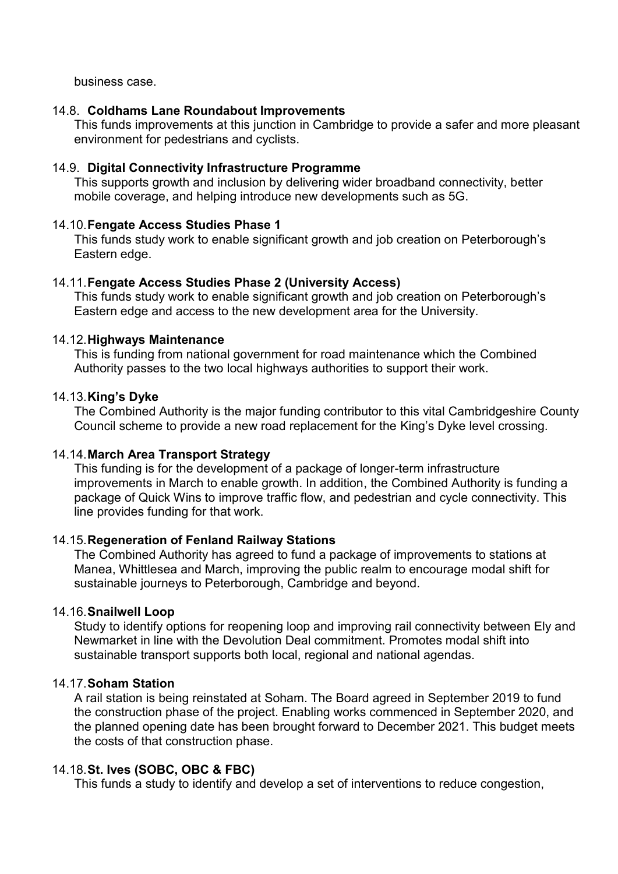business case.

### 14.8. **Coldhams Lane Roundabout Improvements**

This funds improvements at this junction in Cambridge to provide a safer and more pleasant environment for pedestrians and cyclists.

### 14.9. **Digital Connectivity Infrastructure Programme**

This supports growth and inclusion by delivering wider broadband connectivity, better mobile coverage, and helping introduce new developments such as 5G.

### 14.10. **Fengate Access Studies Phase 1**

This funds study work to enable significant growth and job creation on Peterborough's Eastern edge.

#### 14.11. **Fengate Access Studies Phase 2 (University Access)**

This funds study work to enable significant growth and job creation on Peterborough's Eastern edge and access to the new development area for the University.

#### 14.12. **Highways Maintenance**

This is funding from national government for road maintenance which the Combined Authority passes to the two local highways authorities to support their work.

#### 14.13. **King's Dyke**

The Combined Authority is the major funding contributor to this vital Cambridgeshire County Council scheme to provide a new road replacement for the King's Dyke level crossing.

## 14.14. **March Area Transport Strategy**

This funding is for the development of a package of longer-term infrastructure improvements in March to enable growth. In addition, the Combined Authority is funding a package of Quick Wins to improve traffic flow, and pedestrian and cycle connectivity. This line provides funding for that work.

## 14.15. **Regeneration of Fenland Railway Stations**

The Combined Authority has agreed to fund a package of improvements to stations at Manea, Whittlesea and March, improving the public realm to encourage modal shift for sustainable journeys to Peterborough, Cambridge and beyond.

#### 14.16. **Snailwell Loop**

Study to identify options for reopening loop and improving rail connectivity between Ely and Newmarket in line with the Devolution Deal commitment. Promotes modal shift into sustainable transport supports both local, regional and national agendas.

#### 14.17. **Soham Station**

A rail station is being reinstated at Soham. The Board agreed in September 2019 to fund the construction phase of the project. Enabling works commenced in September 2020, and the planned opening date has been brought forward to December 2021. This budget meets the costs of that construction phase.

## 14.18. **St. Ives (SOBC, OBC & FBC)**

This funds a study to identify and develop a set of interventions to reduce congestion,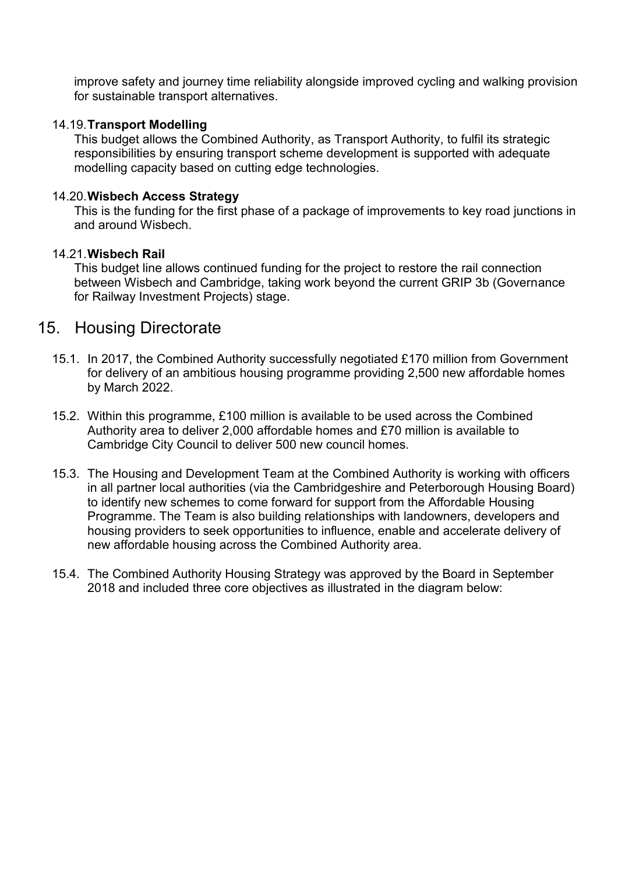improve safety and journey time reliability alongside improved cycling and walking provision for sustainable transport alternatives.

## 14.19. **Transport Modelling**

This budget allows the Combined Authority, as Transport Authority, to fulfil its strategic responsibilities by ensuring transport scheme development is supported with adequate modelling capacity based on cutting edge technologies.

## 14.20. **Wisbech Access Strategy**

This is the funding for the first phase of a package of improvements to key road junctions in and around Wisbech.

## 14.21. **Wisbech Rail**

This budget line allows continued funding for the project to restore the rail connection between Wisbech and Cambridge, taking work beyond the current GRIP 3b (Governance for Railway Investment Projects) stage.

## 15. Housing Directorate

- 15.1. In 2017, the Combined Authority successfully negotiated £170 million from Government for delivery of an ambitious housing programme providing 2,500 new affordable homes by March 2022.
- 15.2. Within this programme, £100 million is available to be used across the Combined Authority area to deliver 2,000 affordable homes and £70 million is available to Cambridge City Council to deliver 500 new council homes.
- 15.3. The Housing and Development Team at the Combined Authority is working with officers in all partner local authorities (via the Cambridgeshire and Peterborough Housing Board) to identify new schemes to come forward for support from the Affordable Housing Programme. The Team is also building relationships with landowners, developers and housing providers to seek opportunities to influence, enable and accelerate delivery of new affordable housing across the Combined Authority area.
- 15.4. The Combined Authority Housing Strategy was approved by the Board in September 2018 and included three core objectives as illustrated in the diagram below: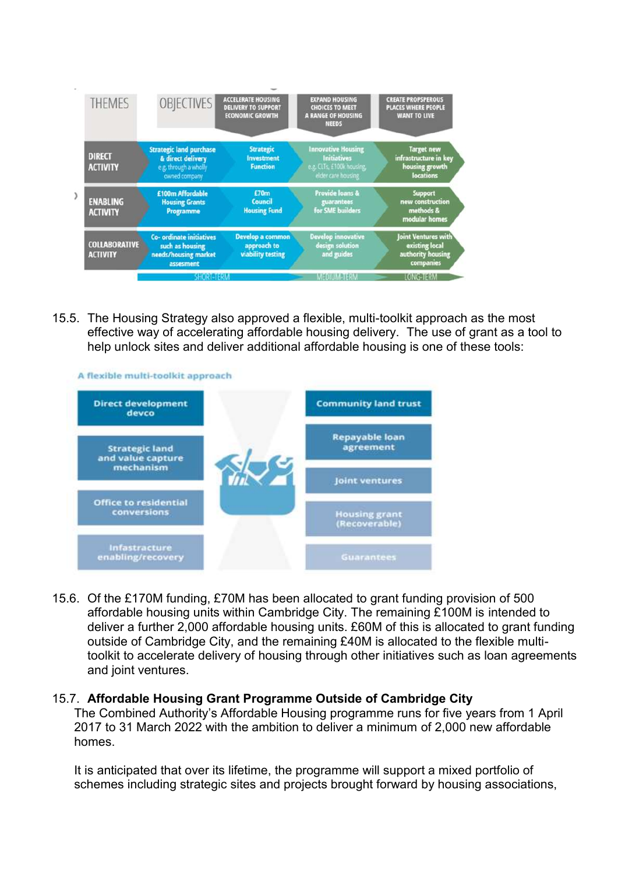

15.5. The Housing Strategy also approved a flexible, multi-toolkit approach as the most effective way of accelerating affordable housing delivery. The use of grant as a tool to help unlock sites and deliver additional affordable housing is one of these tools:



15.6. Of the £170M funding, £70M has been allocated to grant funding provision of 500 affordable housing units within Cambridge City. The remaining £100M is intended to deliver a further 2,000 affordable housing units. £60M of this is allocated to grant funding outside of Cambridge City, and the remaining £40M is allocated to the flexible multitoolkit to accelerate delivery of housing through other initiatives such as loan agreements and joint ventures.

#### 15.7. **Affordable Housing Grant Programme Outside of Cambridge City**

The Combined Authority's Affordable Housing programme runs for five years from 1 April 2017 to 31 March 2022 with the ambition to deliver a minimum of 2,000 new affordable homes.

It is anticipated that over its lifetime, the programme will support a mixed portfolio of schemes including strategic sites and projects brought forward by housing associations,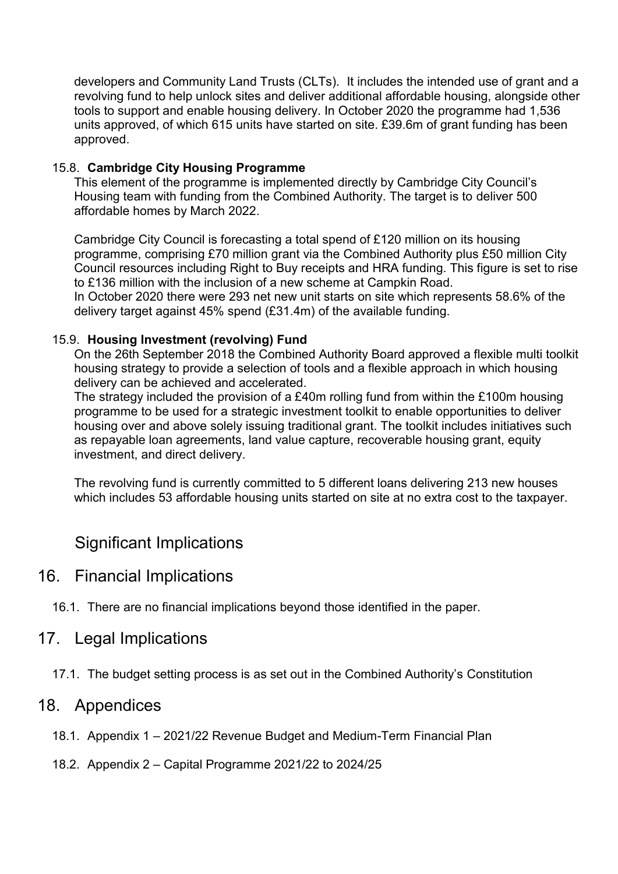developers and Community Land Trusts (CLTs). It includes the intended use of grant and a revolving fund to help unlock sites and deliver additional affordable housing, alongside other tools to support and enable housing delivery. In October 2020 the programme had 1,536 units approved, of which 615 units have started on site. £39.6m of grant funding has been approved.

## 15.8. **Cambridge City Housing Programme**

This element of the programme is implemented directly by Cambridge City Council's Housing team with funding from the Combined Authority. The target is to deliver 500 affordable homes by March 2022.

Cambridge City Council is forecasting a total spend of £120 million on its housing programme, comprising £70 million grant via the Combined Authority plus £50 million City Council resources including Right to Buy receipts and HRA funding. This figure is set to rise to £136 million with the inclusion of a new scheme at Campkin Road. In October 2020 there were 293 net new unit starts on site which represents 58.6% of the delivery target against 45% spend (£31.4m) of the available funding.

## 15.9. **Housing Investment (revolving) Fund**

On the 26th September 2018 the Combined Authority Board approved a flexible multi toolkit housing strategy to provide a selection of tools and a flexible approach in which housing delivery can be achieved and accelerated.

The strategy included the provision of a £40m rolling fund from within the £100m housing programme to be used for a strategic investment toolkit to enable opportunities to deliver housing over and above solely issuing traditional grant. The toolkit includes initiatives such as repayable loan agreements, land value capture, recoverable housing grant, equity investment, and direct delivery.

The revolving fund is currently committed to 5 different loans delivering 213 new houses which includes 53 affordable housing units started on site at no extra cost to the taxpayer.

## Significant Implications

## 16. Financial Implications

16.1. There are no financial implications beyond those identified in the paper.

## 17. Legal Implications

17.1. The budget setting process is as set out in the Combined Authority's Constitution

## 18. Appendices

- 18.1. Appendix 1 2021/22 Revenue Budget and Medium-Term Financial Plan
- 18.2. Appendix 2 Capital Programme 2021/22 to 2024/25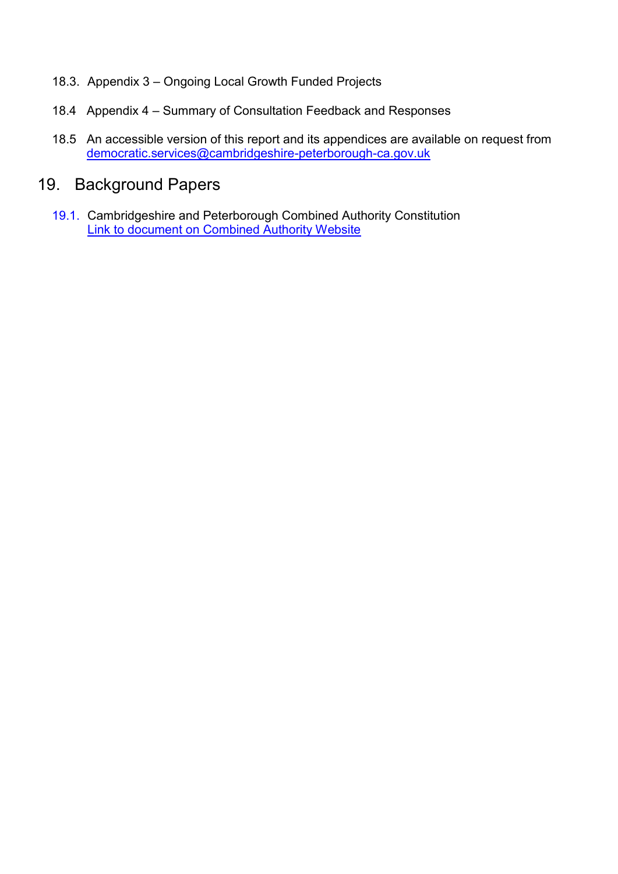- 18.3. Appendix 3 Ongoing Local Growth Funded Projects
- 18.4 Appendix 4 Summary of Consultation Feedback and Responses
- 18.5 An accessible version of this report and its appendices are available on request from [democratic.services@cambridgeshire-peterborough-ca.gov.uk](mailto:democratic.services@cambridgeshire-peterborough-ca.gov.uk)

# 19. Background Papers

19.1. Cambridgeshire and Peterborough Combined Authority Constitution [Link to document on Combined Authority Website](https://cambridgeshirepeterborough-ca.gov.uk/assets/Transparency/Constitution-Final-2020-11-06-for-website.pdf)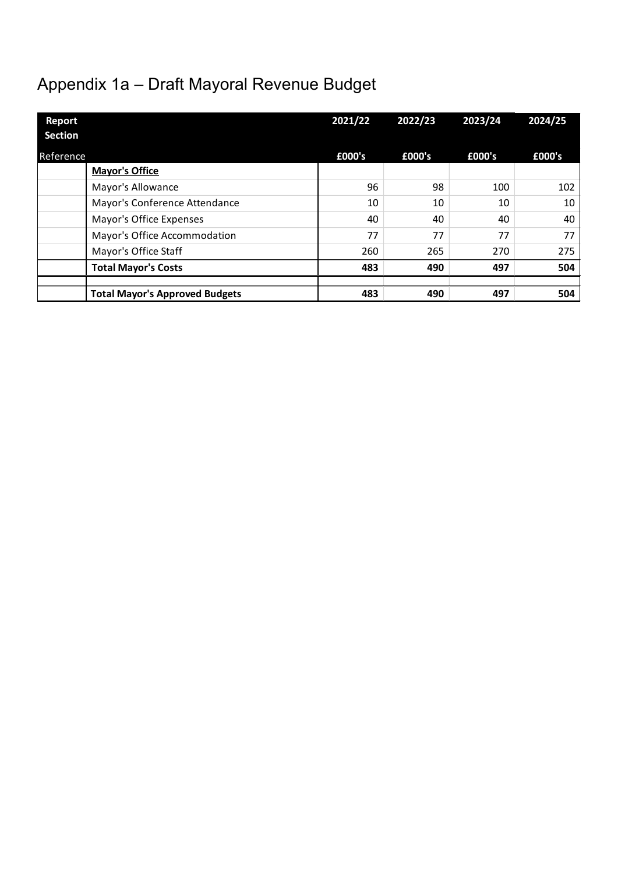# Appendix 1a – Draft Mayoral Revenue Budget

| <b>Report</b><br><b>Section</b> |                                       | 2021/22 | 2022/23 | 2023/24 | 2024/25 |
|---------------------------------|---------------------------------------|---------|---------|---------|---------|
| <b>Reference</b>                |                                       | £000's  | £000's  | £000's  | £000's  |
|                                 | <b>Mayor's Office</b>                 |         |         |         |         |
|                                 | Mayor's Allowance                     | 96      | 98      | 100     | 102     |
|                                 | Mayor's Conference Attendance         | 10      | 10      | 10      | 10      |
|                                 | Mayor's Office Expenses               | 40      | 40      | 40      | 40      |
|                                 | Mayor's Office Accommodation          | 77      | 77      | 77      | 77      |
|                                 | Mayor's Office Staff                  | 260     | 265     | 270     | 275     |
|                                 | <b>Total Mayor's Costs</b>            | 483     | 490     | 497     | 504     |
|                                 |                                       |         |         |         |         |
|                                 | <b>Total Mayor's Approved Budgets</b> | 483     | 490     | 497     | 504     |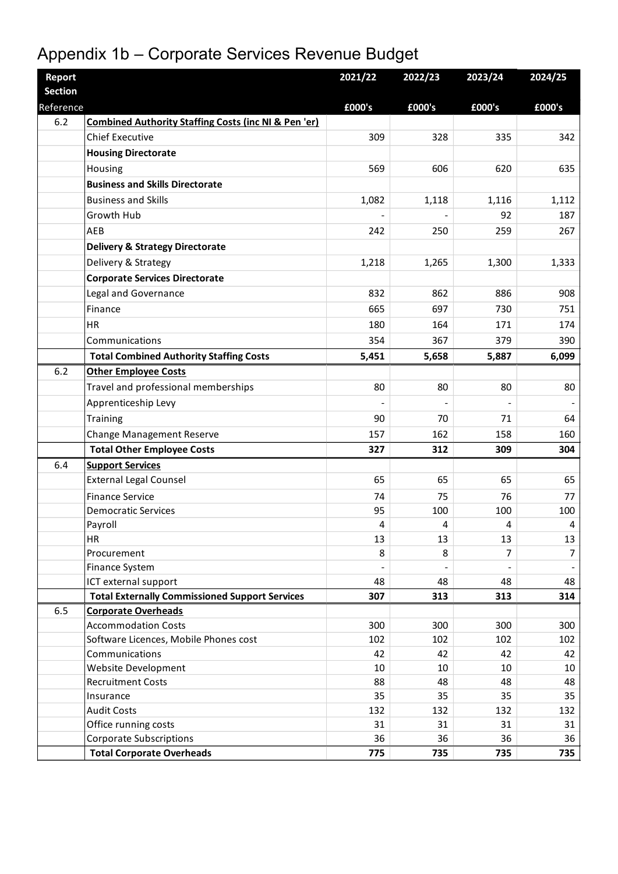# Appendix 1b – Corporate Services Revenue Budget

| <b>Report</b><br><b>Section</b> |                                                                     | 2021/22    | 2022/23    | 2023/24                  | 2024/25    |
|---------------------------------|---------------------------------------------------------------------|------------|------------|--------------------------|------------|
| Reference                       |                                                                     | £000's     | £000's     | £000's                   | £000's     |
| 6.2                             | <b>Combined Authority Staffing Costs (inc NI &amp; Pen 'er)</b>     |            |            |                          |            |
|                                 | <b>Chief Executive</b>                                              | 309        | 328        | 335                      | 342        |
|                                 | <b>Housing Directorate</b>                                          |            |            |                          |            |
|                                 | Housing                                                             | 569        | 606        | 620                      | 635        |
|                                 | <b>Business and Skills Directorate</b>                              |            |            |                          |            |
|                                 | <b>Business and Skills</b>                                          | 1,082      | 1,118      | 1,116                    | 1,112      |
|                                 | Growth Hub                                                          |            |            | 92                       | 187        |
|                                 | AEB                                                                 | 242        | 250        | 259                      | 267        |
|                                 | <b>Delivery &amp; Strategy Directorate</b>                          |            |            |                          |            |
|                                 | Delivery & Strategy                                                 | 1,218      | 1,265      | 1,300                    | 1,333      |
|                                 | <b>Corporate Services Directorate</b>                               |            |            |                          |            |
|                                 | Legal and Governance                                                | 832        | 862        | 886                      | 908        |
|                                 | Finance                                                             | 665        | 697        | 730                      | 751        |
|                                 | HR                                                                  | 180        | 164        | 171                      | 174        |
|                                 | Communications                                                      | 354        | 367        | 379                      | 390        |
|                                 | <b>Total Combined Authority Staffing Costs</b>                      | 5,451      | 5,658      | 5,887                    | 6,099      |
| 6.2                             | <b>Other Employee Costs</b>                                         |            |            |                          |            |
|                                 | Travel and professional memberships                                 | 80         | 80         | 80                       | 80         |
|                                 | Apprenticeship Levy                                                 |            |            |                          |            |
|                                 | <b>Training</b>                                                     | 90         | 70         | 71                       | 64         |
|                                 | <b>Change Management Reserve</b>                                    | 157        | 162        | 158                      | 160        |
|                                 | <b>Total Other Employee Costs</b>                                   | 327        | 312        | 309                      | 304        |
| 6.4                             | <b>Support Services</b>                                             |            |            |                          |            |
|                                 | <b>External Legal Counsel</b>                                       | 65         | 65         | 65                       | 65         |
|                                 | <b>Finance Service</b>                                              | 74         | 75         | 76                       | 77         |
|                                 | <b>Democratic Services</b>                                          | 95         | 100        | 100                      | 100        |
|                                 | Payroll                                                             | 4          | 4          | 4                        | 4          |
|                                 | HR.                                                                 | 13         | 13         | 13                       | 13         |
|                                 | Procurement                                                         | 8          | 8          | 7                        | 7          |
|                                 | Finance System                                                      |            |            | $\overline{\phantom{0}}$ |            |
|                                 | ICT external support                                                | 48         | 48         | 48                       | 48         |
|                                 | <b>Total Externally Commissioned Support Services</b>               | 307        | 313        | 313                      | 314        |
| 6.5                             | <b>Corporate Overheads</b>                                          |            |            |                          |            |
|                                 | <b>Accommodation Costs</b><br>Software Licences, Mobile Phones cost | 300<br>102 | 300<br>102 | 300<br>102               | 300<br>102 |
|                                 | Communications                                                      | 42         | 42         | 42                       | 42         |
|                                 | Website Development                                                 | 10         | 10         | 10                       | 10         |
|                                 | <b>Recruitment Costs</b>                                            | 88         | 48         | 48                       | 48         |
|                                 | Insurance                                                           | 35         | 35         | 35                       | 35         |
|                                 | <b>Audit Costs</b>                                                  | 132        | 132        | 132                      | 132        |
|                                 | Office running costs                                                | 31         | 31         | 31                       | 31         |
|                                 | <b>Corporate Subscriptions</b>                                      | 36         | 36         | 36                       | 36         |
|                                 | <b>Total Corporate Overheads</b>                                    | 775        | 735        | 735                      | 735        |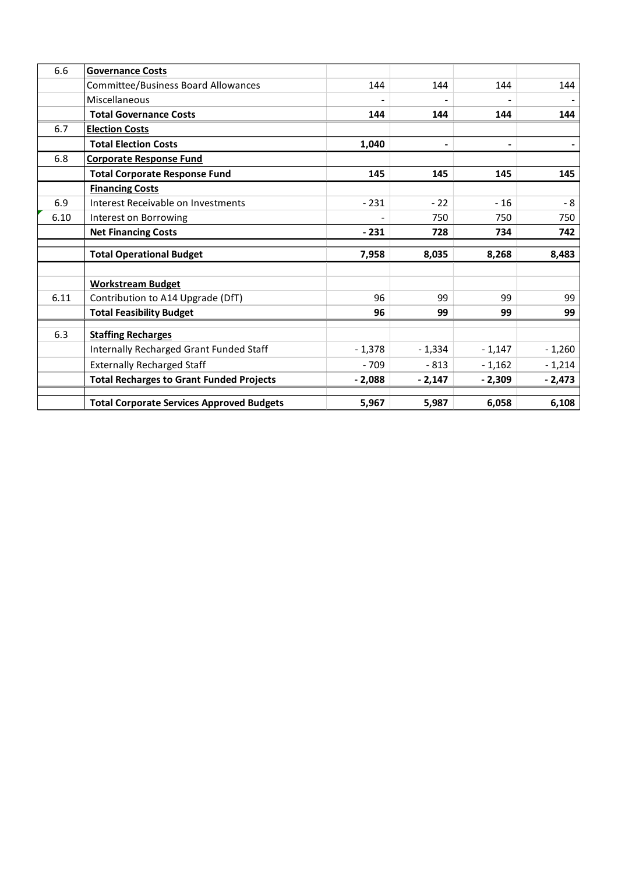| 6.6  | <b>Governance Costs</b>                          |          |                          |          |          |
|------|--------------------------------------------------|----------|--------------------------|----------|----------|
|      | <b>Committee/Business Board Allowances</b>       | 144      | 144                      | 144      | 144      |
|      | Miscellaneous                                    |          |                          |          |          |
|      | <b>Total Governance Costs</b>                    | 144      | 144                      | 144      | 144      |
| 6.7  | <b>Election Costs</b>                            |          |                          |          |          |
|      | <b>Total Election Costs</b>                      | 1,040    | $\overline{\phantom{a}}$ |          |          |
| 6.8  | <b>Corporate Response Fund</b>                   |          |                          |          |          |
|      | <b>Total Corporate Response Fund</b>             | 145      | 145                      | 145      | 145      |
|      | <b>Financing Costs</b>                           |          |                          |          |          |
| 6.9  | Interest Receivable on Investments               | $-231$   | $-22$                    | $-16$    | - 8      |
| 6.10 | Interest on Borrowing                            |          | 750                      | 750      | 750      |
|      | <b>Net Financing Costs</b>                       | $-231$   | 728                      | 734      | 742      |
|      |                                                  |          |                          |          |          |
|      | <b>Total Operational Budget</b>                  | 7,958    | 8,035                    | 8,268    | 8,483    |
|      | <b>Workstream Budget</b>                         |          |                          |          |          |
| 6.11 | Contribution to A14 Upgrade (DfT)                | 96       | 99                       | 99       | 99       |
|      | <b>Total Feasibility Budget</b>                  | 96       | 99                       | 99       | 99       |
| 6.3  | <b>Staffing Recharges</b>                        |          |                          |          |          |
|      | Internally Recharged Grant Funded Staff          | $-1,378$ | $-1,334$                 | $-1,147$ | $-1,260$ |
|      | <b>Externally Recharged Staff</b>                | $-709$   | $-813$                   | $-1,162$ | $-1,214$ |
|      | <b>Total Recharges to Grant Funded Projects</b>  | $-2,088$ | $-2,147$                 | $-2,309$ | $-2,473$ |
|      |                                                  |          |                          |          |          |
|      | <b>Total Corporate Services Approved Budgets</b> | 5,967    | 5,987                    | 6,058    | 6,108    |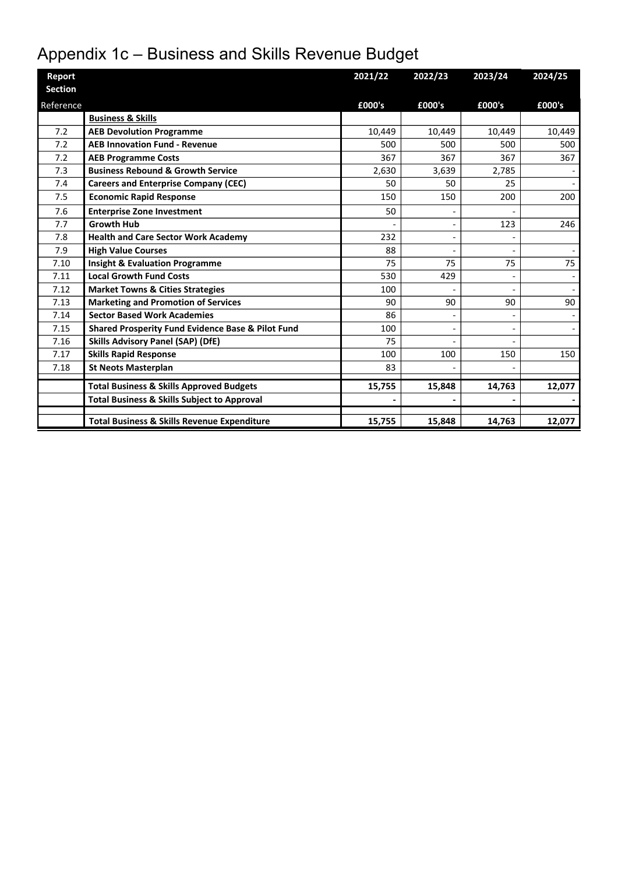# Appendix 1c – Business and Skills Revenue Budget

| Report         |                                                        | 2021/22 | 2022/23 | 2023/24 | 2024/25 |
|----------------|--------------------------------------------------------|---------|---------|---------|---------|
| <b>Section</b> |                                                        |         |         |         |         |
| Reference      |                                                        | £000's  | £000's  | £000's  | £000's  |
|                | <b>Business &amp; Skills</b>                           |         |         |         |         |
| 7.2            | <b>AEB Devolution Programme</b>                        | 10,449  | 10,449  | 10,449  | 10,449  |
| 7.2            | <b>AEB Innovation Fund - Revenue</b>                   | 500     | 500     | 500     | 500     |
| 7.2            | <b>AEB Programme Costs</b>                             | 367     | 367     | 367     | 367     |
| 7.3            | <b>Business Rebound &amp; Growth Service</b>           | 2,630   | 3,639   | 2,785   |         |
| 7.4            | <b>Careers and Enterprise Company (CEC)</b>            | 50      | 50      | 25      |         |
| 7.5            | <b>Economic Rapid Response</b>                         | 150     | 150     | 200     | 200     |
| 7.6            | <b>Enterprise Zone Investment</b>                      | 50      |         |         |         |
| 7.7            | <b>Growth Hub</b>                                      |         |         | 123     | 246     |
| 7.8            | <b>Health and Care Sector Work Academy</b>             | 232     |         |         |         |
| 7.9            | <b>High Value Courses</b>                              | 88      |         |         |         |
| 7.10           | <b>Insight &amp; Evaluation Programme</b>              | 75      | 75      | 75      | 75      |
| 7.11           | <b>Local Growth Fund Costs</b>                         | 530     | 429     |         |         |
| 7.12           | <b>Market Towns &amp; Cities Strategies</b>            | 100     |         |         |         |
| 7.13           | <b>Marketing and Promotion of Services</b>             | 90      | 90      | 90      | 90      |
| 7.14           | <b>Sector Based Work Academies</b>                     | 86      |         |         |         |
| 7.15           | Shared Prosperity Fund Evidence Base & Pilot Fund      | 100     |         |         |         |
| 7.16           | <b>Skills Advisory Panel (SAP) (DfE)</b>               | 75      |         |         |         |
| 7.17           | <b>Skills Rapid Response</b>                           | 100     | 100     | 150     | 150     |
| 7.18           | <b>St Neots Masterplan</b>                             | 83      |         |         |         |
|                | <b>Total Business &amp; Skills Approved Budgets</b>    | 15,755  | 15,848  | 14,763  | 12,077  |
|                | <b>Total Business &amp; Skills Subject to Approval</b> |         |         |         |         |
|                |                                                        |         |         |         |         |
|                | <b>Total Business &amp; Skills Revenue Expenditure</b> | 15,755  | 15,848  | 14,763  | 12,077  |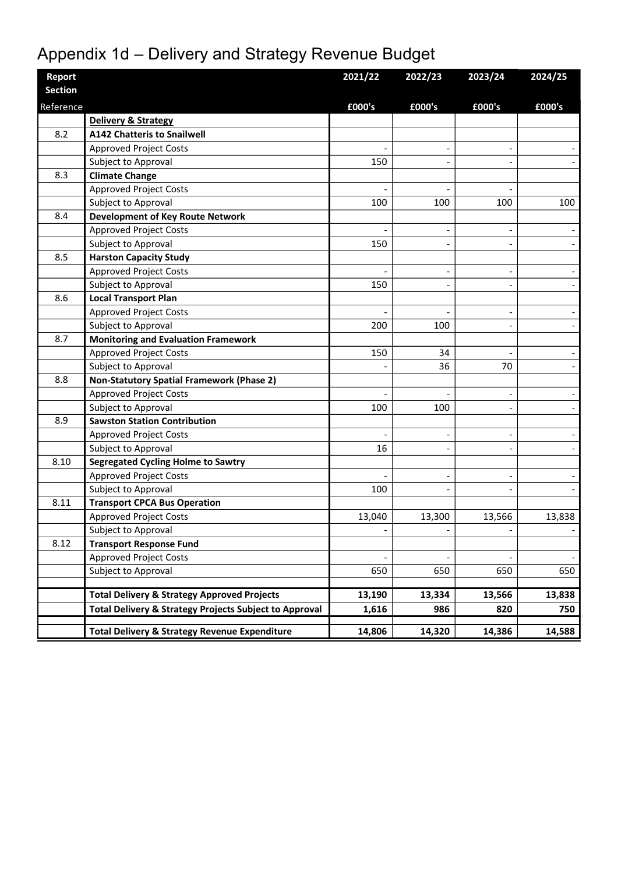# Appendix 1d – Delivery and Strategy Revenue Budget

| <b>Report</b>  |                                                                   | 2021/22 | 2022/23                  | 2023/24 | 2024/25 |
|----------------|-------------------------------------------------------------------|---------|--------------------------|---------|---------|
| <b>Section</b> |                                                                   |         |                          |         |         |
| Reference      |                                                                   | £000's  | £000's                   | £000's  | £000's  |
|                | Delivery & Strategy                                               |         |                          |         |         |
| 8.2            | <b>A142 Chatteris to Snailwell</b>                                |         |                          |         |         |
|                | <b>Approved Project Costs</b>                                     |         | $\overline{a}$           |         |         |
|                | Subject to Approval                                               | 150     |                          |         |         |
| 8.3            | <b>Climate Change</b>                                             |         |                          |         |         |
|                | <b>Approved Project Costs</b>                                     |         |                          |         |         |
|                | Subject to Approval                                               | 100     | 100                      | 100     | 100     |
| 8.4            | <b>Development of Key Route Network</b>                           |         |                          |         |         |
|                | <b>Approved Project Costs</b>                                     |         |                          |         |         |
|                | Subject to Approval                                               | 150     | $\overline{\phantom{a}}$ |         |         |
| 8.5            | <b>Harston Capacity Study</b>                                     |         |                          |         |         |
|                | <b>Approved Project Costs</b>                                     |         | $\overline{a}$           |         |         |
|                | Subject to Approval                                               | 150     |                          |         |         |
| 8.6            | <b>Local Transport Plan</b>                                       |         |                          |         |         |
|                | <b>Approved Project Costs</b>                                     |         |                          |         |         |
|                | Subject to Approval                                               | 200     | 100                      |         |         |
| 8.7            | <b>Monitoring and Evaluation Framework</b>                        |         |                          |         |         |
|                | <b>Approved Project Costs</b>                                     | 150     | 34                       |         |         |
|                | Subject to Approval                                               |         | 36                       | 70      |         |
| 8.8            | <b>Non-Statutory Spatial Framework (Phase 2)</b>                  |         |                          |         |         |
|                | <b>Approved Project Costs</b>                                     |         |                          |         |         |
|                | Subject to Approval                                               | 100     | 100                      |         |         |
| 8.9            | <b>Sawston Station Contribution</b>                               |         |                          |         |         |
|                | <b>Approved Project Costs</b>                                     |         | $\overline{\phantom{a}}$ |         |         |
|                | Subject to Approval                                               | 16      |                          |         |         |
| 8.10           | <b>Segregated Cycling Holme to Sawtry</b>                         |         |                          |         |         |
|                | <b>Approved Project Costs</b>                                     |         | $\overline{\phantom{a}}$ |         |         |
|                | Subject to Approval                                               | 100     |                          |         |         |
| 8.11           | <b>Transport CPCA Bus Operation</b>                               |         |                          |         |         |
|                | <b>Approved Project Costs</b>                                     | 13,040  | 13,300                   | 13,566  | 13,838  |
|                | Subject to Approval                                               |         | $\overline{\phantom{a}}$ |         |         |
| 8.12           | <b>Transport Response Fund</b>                                    |         |                          |         |         |
|                | <b>Approved Project Costs</b>                                     |         |                          |         |         |
|                | Subject to Approval                                               | 650     | 650                      | 650     | 650     |
|                |                                                                   |         |                          |         |         |
|                | <b>Total Delivery &amp; Strategy Approved Projects</b>            | 13,190  | 13,334                   | 13,566  | 13,838  |
|                | <b>Total Delivery &amp; Strategy Projects Subject to Approval</b> | 1,616   | 986                      | 820     | 750     |
|                | <b>Total Delivery &amp; Strategy Revenue Expenditure</b>          | 14,806  | 14,320                   | 14,386  | 14,588  |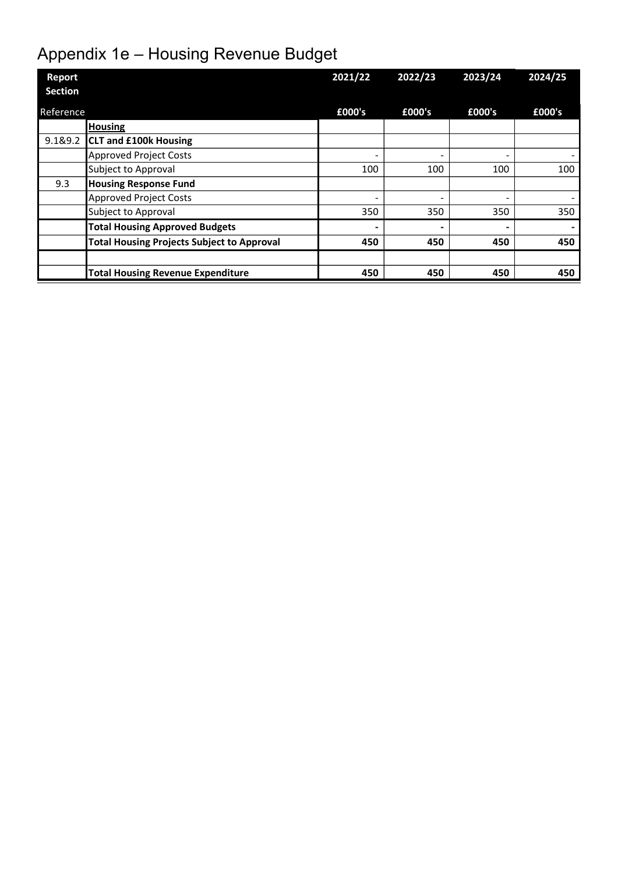# Appendix 1e – Housing Revenue Budget

| Report         |                                                   | 2021/22                  | 2022/23 | 2023/24                  | 2024/25 |
|----------------|---------------------------------------------------|--------------------------|---------|--------------------------|---------|
| <b>Section</b> |                                                   |                          |         |                          |         |
| Reference      |                                                   | £000's                   | £000's  | £000's                   | £000's  |
|                | <b>Housing</b>                                    |                          |         |                          |         |
| 9.1&9.2        | <b>CLT and £100k Housing</b>                      |                          |         |                          |         |
|                | <b>Approved Project Costs</b>                     | $\overline{\phantom{0}}$ |         | $\overline{\phantom{0}}$ |         |
|                | Subject to Approval                               | 100                      | 100     | 100                      | 100     |
| 9.3            | <b>Housing Response Fund</b>                      |                          |         |                          |         |
|                | <b>Approved Project Costs</b>                     | $\overline{\phantom{0}}$ |         |                          |         |
|                | Subject to Approval                               | 350                      | 350     | 350                      | 350     |
|                | <b>Total Housing Approved Budgets</b>             | ٠                        |         |                          |         |
|                | <b>Total Housing Projects Subject to Approval</b> | 450                      | 450     | 450                      | 450     |
|                |                                                   |                          |         |                          |         |
|                | <b>Total Housing Revenue Expenditure</b>          | 450                      | 450     | 450                      | 450     |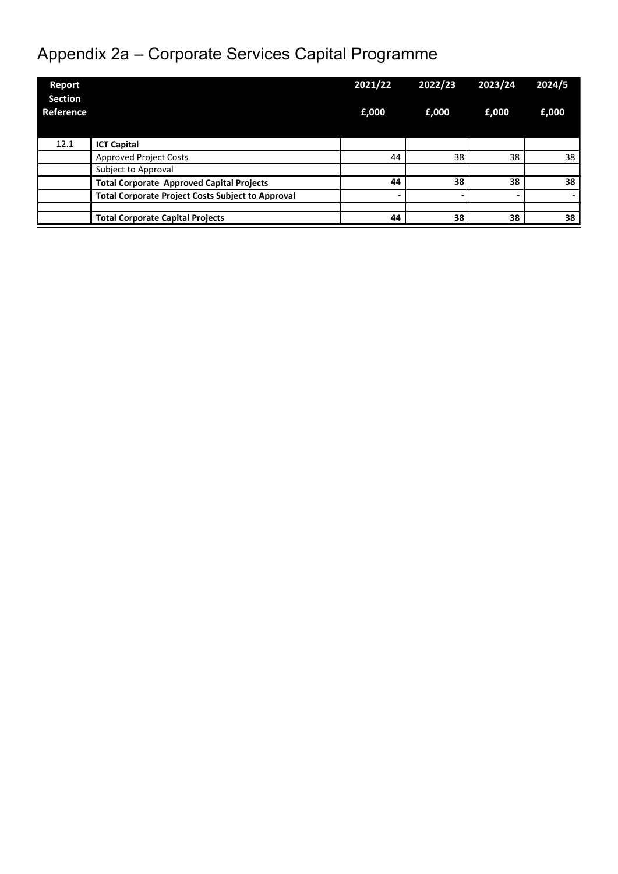# Appendix 2a – Corporate Services Capital Programme

| Report<br><b>Section</b> |                                                          | 2021/22 | 2022/23                  | 2023/24                  | 2024/5 |
|--------------------------|----------------------------------------------------------|---------|--------------------------|--------------------------|--------|
| Reference                |                                                          | £,000   | £,000                    | £,000                    | £,000  |
| 12.1                     | <b>ICT Capital</b>                                       |         |                          |                          |        |
|                          | <b>Approved Project Costs</b>                            | 44      | 38                       | 38                       | 38     |
|                          | Subject to Approval                                      |         |                          |                          |        |
|                          | <b>Total Corporate Approved Capital Projects</b>         | 44      | 38                       | 38                       | 38     |
|                          | <b>Total Corporate Project Costs Subject to Approval</b> |         | $\overline{\phantom{0}}$ | $\overline{\phantom{0}}$ |        |
|                          |                                                          |         |                          |                          |        |
|                          | <b>Total Corporate Capital Projects</b>                  | 44      | 38                       | 38                       | 38     |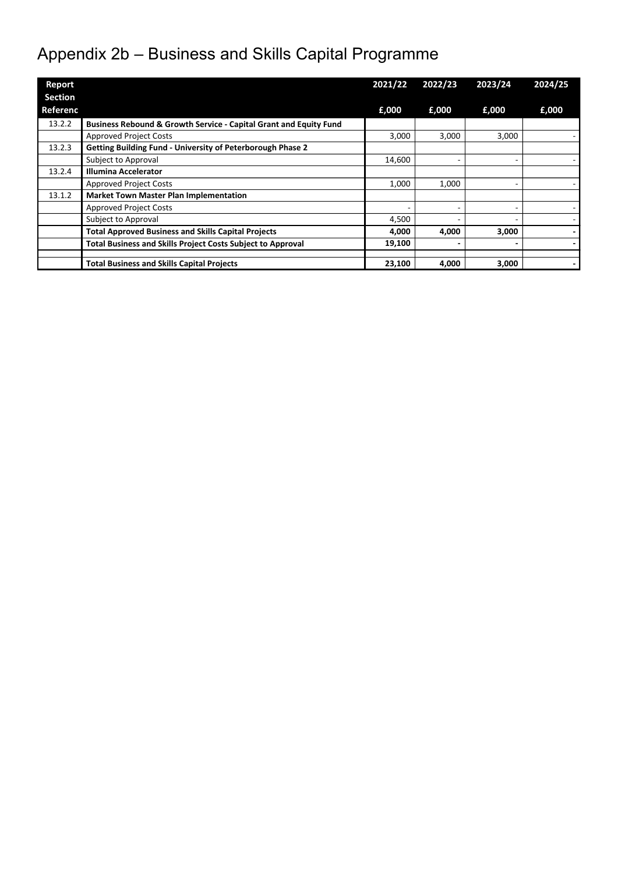# Appendix 2b – Business and Skills Capital Programme

| <b>Report</b>  |                                                                    | 2021/22 | 2022/23 | 2023/24 | 2024/25 |
|----------------|--------------------------------------------------------------------|---------|---------|---------|---------|
| <b>Section</b> |                                                                    |         |         |         |         |
| Referenc       |                                                                    | £,000   | £,000   | £,000   | £,000   |
| 13.2.2         | Business Rebound & Growth Service - Capital Grant and Equity Fund  |         |         |         |         |
|                | <b>Approved Project Costs</b>                                      | 3,000   | 3,000   | 3,000   |         |
| 13.2.3         | Getting Building Fund - University of Peterborough Phase 2         |         |         |         |         |
|                | Subject to Approval                                                | 14,600  |         | ۰       |         |
| 13.2.4         | <b>Illumina Accelerator</b>                                        |         |         |         |         |
|                | <b>Approved Project Costs</b>                                      | 1,000   | 1,000   | ٠       |         |
| 13.1.2         | <b>Market Town Master Plan Implementation</b>                      |         |         |         |         |
|                | <b>Approved Project Costs</b>                                      |         |         | -       |         |
|                | Subject to Approval                                                | 4,500   |         | ۰       |         |
|                | <b>Total Approved Business and Skills Capital Projects</b>         | 4,000   | 4,000   | 3,000   |         |
|                | <b>Total Business and Skills Project Costs Subject to Approval</b> | 19,100  |         |         |         |
|                |                                                                    |         |         |         |         |
|                | <b>Total Business and Skills Capital Projects</b>                  | 23,100  | 4,000   | 3,000   |         |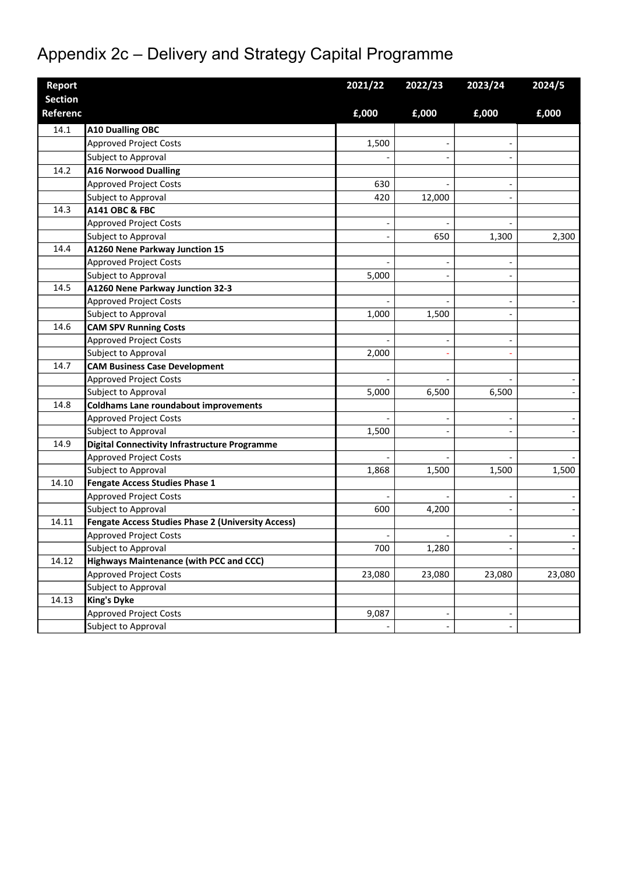# Appendix 2c – Delivery and Strategy Capital Programme

| Report          |                                                           | 2021/22                  | 2022/23                  | 2023/24                  | 2024/5 |
|-----------------|-----------------------------------------------------------|--------------------------|--------------------------|--------------------------|--------|
| <b>Section</b>  |                                                           |                          |                          |                          |        |
| <b>Referenc</b> |                                                           | £,000                    | £,000                    | £,000                    | £,000  |
| 14.1            | <b>A10 Dualling OBC</b>                                   |                          |                          |                          |        |
|                 | <b>Approved Project Costs</b>                             | 1,500                    |                          |                          |        |
|                 | Subject to Approval                                       |                          |                          |                          |        |
| 14.2            | <b>A16 Norwood Dualling</b>                               |                          |                          |                          |        |
|                 | <b>Approved Project Costs</b>                             | 630                      |                          |                          |        |
|                 | Subject to Approval                                       | 420                      | 12,000                   |                          |        |
| 14.3            | <b>A141 OBC &amp; FBC</b>                                 |                          |                          |                          |        |
|                 | <b>Approved Project Costs</b>                             |                          |                          |                          |        |
|                 | Subject to Approval                                       |                          | 650                      | 1,300                    | 2,300  |
| 14.4            | A1260 Nene Parkway Junction 15                            |                          |                          |                          |        |
|                 | <b>Approved Project Costs</b>                             |                          |                          |                          |        |
|                 | Subject to Approval                                       | 5,000                    |                          |                          |        |
| 14.5            | A1260 Nene Parkway Junction 32-3                          |                          |                          |                          |        |
|                 | <b>Approved Project Costs</b>                             |                          |                          |                          |        |
|                 | Subject to Approval                                       | 1,000                    | 1,500                    |                          |        |
| 14.6            | <b>CAM SPV Running Costs</b>                              |                          |                          |                          |        |
|                 | <b>Approved Project Costs</b>                             |                          |                          |                          |        |
|                 | Subject to Approval                                       | 2,000                    |                          |                          |        |
| 14.7            | <b>CAM Business Case Development</b>                      |                          |                          |                          |        |
|                 | <b>Approved Project Costs</b>                             |                          |                          |                          |        |
|                 | Subject to Approval                                       | 5,000                    | 6,500                    | 6,500                    |        |
| 14.8            | <b>Coldhams Lane roundabout improvements</b>              |                          |                          |                          |        |
|                 | <b>Approved Project Costs</b>                             |                          | $\overline{\phantom{a}}$ |                          |        |
|                 | Subject to Approval                                       | 1,500                    |                          |                          |        |
| 14.9            | <b>Digital Connectivity Infrastructure Programme</b>      |                          |                          |                          |        |
|                 | <b>Approved Project Costs</b>                             |                          |                          |                          |        |
|                 | Subject to Approval                                       | 1,868                    | 1,500                    | 1,500                    | 1,500  |
| 14.10           | <b>Fengate Access Studies Phase 1</b>                     |                          |                          |                          |        |
|                 | <b>Approved Project Costs</b>                             |                          |                          |                          |        |
|                 | Subject to Approval                                       | 600                      | 4,200                    |                          |        |
| 14.11           | <b>Fengate Access Studies Phase 2 (University Access)</b> |                          |                          |                          |        |
|                 | <b>Approved Project Costs</b>                             | $\overline{\phantom{a}}$ |                          | $\overline{\phantom{a}}$ |        |
|                 | Subject to Approval                                       | 700                      | 1,280                    | $\overline{a}$           |        |
| 14.12           | <b>Highways Maintenance (with PCC and CCC)</b>            |                          |                          |                          |        |
|                 | <b>Approved Project Costs</b>                             | 23,080                   | 23,080                   | 23,080                   | 23,080 |
|                 | Subject to Approval                                       |                          |                          |                          |        |
| 14.13           | <b>King's Dyke</b>                                        |                          |                          |                          |        |
|                 | <b>Approved Project Costs</b>                             | 9,087                    | $\overline{\phantom{a}}$ | $\overline{\phantom{a}}$ |        |
|                 | Subject to Approval                                       |                          | $\overline{\phantom{a}}$ | $\overline{\phantom{a}}$ |        |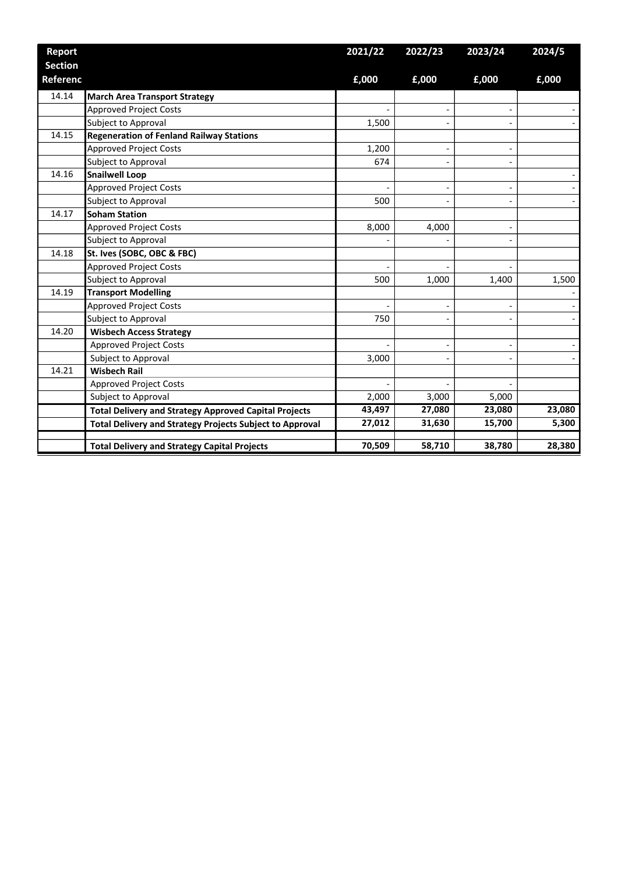| <b>Report</b>   |                                                                 | 2021/22 | 2022/23                      | 2023/24                  | 2024/5 |
|-----------------|-----------------------------------------------------------------|---------|------------------------------|--------------------------|--------|
| <b>Section</b>  |                                                                 |         |                              |                          |        |
| <b>Referenc</b> |                                                                 | £,000   | £,000                        | £,000                    | £,000  |
| 14.14           | <b>March Area Transport Strategy</b>                            |         |                              |                          |        |
|                 | <b>Approved Project Costs</b>                                   |         |                              |                          |        |
|                 | Subject to Approval                                             | 1,500   |                              |                          |        |
| 14.15           | <b>Regeneration of Fenland Railway Stations</b>                 |         |                              |                          |        |
|                 | <b>Approved Project Costs</b>                                   | 1,200   | $\qquad \qquad \blacksquare$ | -                        |        |
|                 | Subject to Approval                                             | 674     |                              |                          |        |
| 14.16           | <b>Snailwell Loop</b>                                           |         |                              |                          |        |
|                 | <b>Approved Project Costs</b>                                   |         | $\overline{\phantom{a}}$     | $\overline{a}$           |        |
|                 | Subject to Approval                                             | 500     |                              |                          |        |
| 14.17           | <b>Soham Station</b>                                            |         |                              |                          |        |
|                 | <b>Approved Project Costs</b>                                   | 8,000   | 4,000                        | $\overline{\phantom{0}}$ |        |
|                 | Subject to Approval                                             |         |                              |                          |        |
| 14.18           | St. Ives (SOBC, OBC & FBC)                                      |         |                              |                          |        |
|                 | <b>Approved Project Costs</b>                                   |         |                              |                          |        |
|                 | Subject to Approval                                             | 500     | 1,000                        | 1,400                    | 1,500  |
| 14.19           | <b>Transport Modelling</b>                                      |         |                              |                          |        |
|                 | <b>Approved Project Costs</b>                                   |         |                              | $\overline{a}$           |        |
|                 | Subject to Approval                                             | 750     |                              |                          |        |
| 14.20           | <b>Wisbech Access Strategy</b>                                  |         |                              |                          |        |
|                 | <b>Approved Project Costs</b>                                   |         | $\overline{\phantom{a}}$     | $\overline{\phantom{0}}$ |        |
|                 | Subject to Approval                                             | 3,000   |                              |                          |        |
| 14.21           | <b>Wisbech Rail</b>                                             |         |                              |                          |        |
|                 | <b>Approved Project Costs</b>                                   |         |                              |                          |        |
|                 | Subject to Approval                                             | 2,000   | 3,000                        | 5,000                    |        |
|                 | <b>Total Delivery and Strategy Approved Capital Projects</b>    | 43,497  | 27,080                       | 23,080                   | 23,080 |
|                 | <b>Total Delivery and Strategy Projects Subject to Approval</b> | 27,012  | 31,630                       | 15,700                   | 5,300  |
|                 | <b>Total Delivery and Strategy Capital Projects</b>             | 70,509  | 58,710                       | 38,780                   | 28,380 |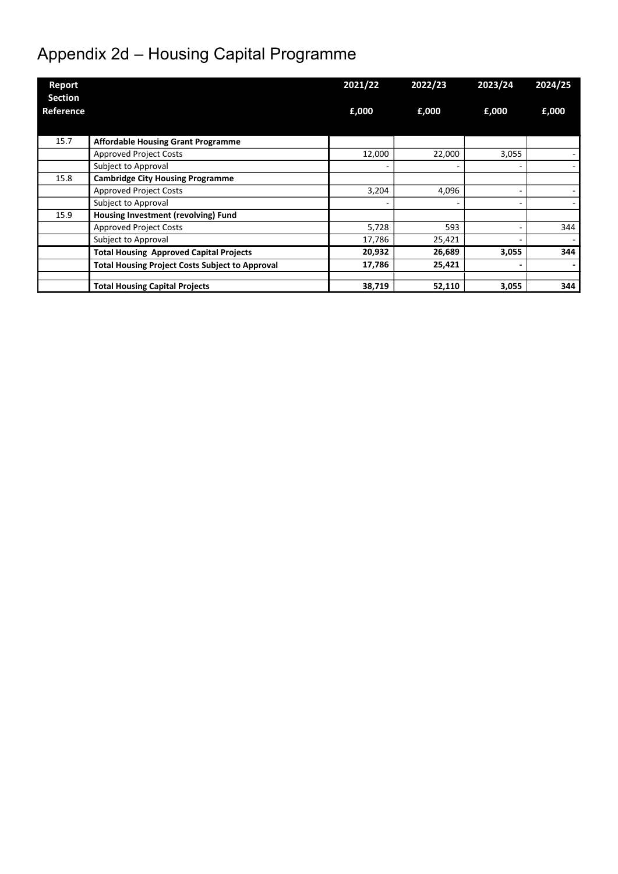# Appendix 2d – Housing Capital Programme

| Report                      |                                                        | 2021/22 | 2022/23 | 2023/24 | 2024/25 |
|-----------------------------|--------------------------------------------------------|---------|---------|---------|---------|
| <b>Section</b><br>Reference |                                                        | £,000   | £,000   | £,000   | £,000   |
| 15.7                        | <b>Affordable Housing Grant Programme</b>              |         |         |         |         |
|                             | <b>Approved Project Costs</b>                          | 12,000  | 22,000  | 3,055   |         |
|                             | Subject to Approval                                    |         |         | ٠       |         |
| 15.8                        | <b>Cambridge City Housing Programme</b>                |         |         |         |         |
|                             | <b>Approved Project Costs</b>                          | 3,204   | 4,096   | ٠       |         |
|                             | Subject to Approval                                    |         | ۰       | ٠       |         |
| 15.9                        | Housing Investment (revolving) Fund                    |         |         |         |         |
|                             | <b>Approved Project Costs</b>                          | 5,728   | 593     | ٠       | 344     |
|                             | Subject to Approval                                    | 17,786  | 25,421  | ٠       |         |
|                             | <b>Total Housing Approved Capital Projects</b>         | 20,932  | 26,689  | 3,055   | 344     |
|                             | <b>Total Housing Project Costs Subject to Approval</b> | 17,786  | 25,421  | -       |         |
|                             | <b>Total Housing Capital Projects</b>                  | 38,719  | 52,110  | 3,055   | 344     |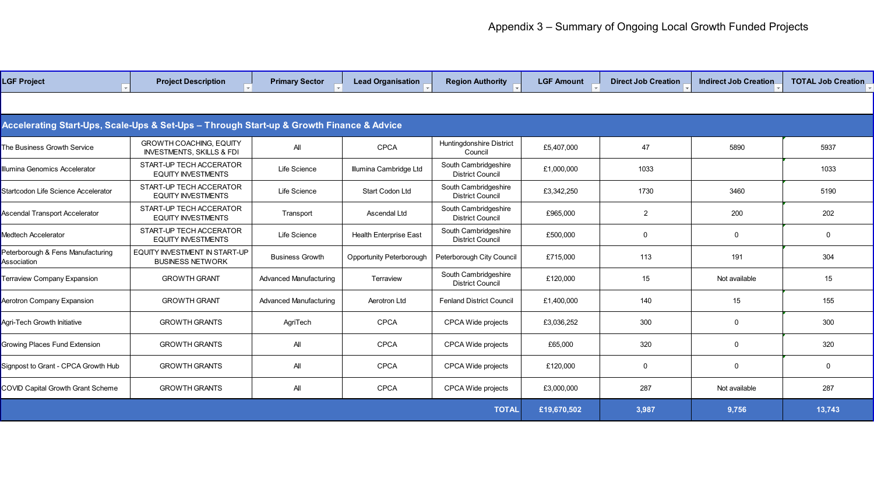| <b>LGF Project</b>                                                                       | <b>Project Description</b>                                             | <b>Primary Sector</b>         | <b>Lead Organisation</b>      | <b>Region Authority</b>                         | <b>LGF Amount</b> | <b>Direct Job Creation</b> | <b>Indirect Job Creation</b> | <b>TOTAL Job Creation</b> |
|------------------------------------------------------------------------------------------|------------------------------------------------------------------------|-------------------------------|-------------------------------|-------------------------------------------------|-------------------|----------------------------|------------------------------|---------------------------|
|                                                                                          |                                                                        |                               |                               |                                                 |                   |                            |                              |                           |
| Accelerating Start-Ups, Scale-Ups & Set-Ups - Through Start-up & Growth Finance & Advice |                                                                        |                               |                               |                                                 |                   |                            |                              |                           |
| The Business Growth Service                                                              | <b>GROWTH COACHING, EQUITY</b><br><b>INVESTMENTS, SKILLS &amp; FDI</b> | All                           | <b>CPCA</b>                   | Huntingdonshire District<br>Council             | £5,407,000        | 47                         | 5890                         | 5937                      |
| Illumina Genomics Accelerator                                                            | START-UP TECH ACCERATOR<br><b>EQUITY INVESTMENTS</b>                   | Life Science                  | Illumina Cambridge Ltd        | South Cambridgeshire<br><b>District Council</b> | £1,000,000        | 1033                       |                              | 1033                      |
| Startcodon Life Science Accelerator                                                      | START-UP TECH ACCERATOR<br><b>EQUITY INVESTMENTS</b>                   | Life Science                  | Start Codon Ltd               | South Cambridgeshire<br><b>District Council</b> | £3,342,250        | 1730                       | 3460                         | 5190                      |
| Ascendal Transport Accelerator                                                           | START-UP TECH ACCERATOR<br><b>EQUITY INVESTMENTS</b>                   | Transport                     | Ascendal Ltd                  | South Cambridgeshire<br><b>District Council</b> | £965,000          | 2                          | 200                          | 202                       |
| Medtech Accelerator                                                                      | START-UP TECH ACCERATOR<br><b>EQUITY INVESTMENTS</b>                   | Life Science                  | <b>Health Enterprise East</b> | South Cambridgeshire<br><b>District Council</b> | £500,000          | $\mathbf 0$                | 0                            | $\Omega$                  |
| Peterborough & Fens Manufacturing<br>Association                                         | EQUITY INVESTMENT IN START-UP<br><b>BUSINESS NETWORK</b>               | <b>Business Growth</b>        | Opportunity Peterborough      | Peterborough City Council                       | £715,000          | 113                        | 191                          | 304                       |
| <b>Terraview Company Expansion</b>                                                       | <b>GROWTH GRANT</b>                                                    | <b>Advanced Manufacturing</b> | Terraview                     | South Cambridgeshire<br><b>District Council</b> | £120,000          | 15                         | Not available                | 15                        |
| Aerotron Company Expansion                                                               | <b>GROWTH GRANT</b>                                                    | <b>Advanced Manufacturing</b> | Aerotron Ltd                  | <b>Fenland District Council</b>                 | £1,400,000        | 140                        | 15                           | 155                       |
| Agri-Tech Growth Initiative                                                              | <b>GROWTH GRANTS</b>                                                   | AgriTech                      | <b>CPCA</b>                   | CPCA Wide projects                              | £3,036,252        | 300                        | 0                            | 300                       |
| Growing Places Fund Extension                                                            | <b>GROWTH GRANTS</b>                                                   | All                           | <b>CPCA</b>                   | CPCA Wide projects                              | £65,000           | 320                        | 0                            | 320                       |
| Signpost to Grant - CPCA Growth Hub                                                      | <b>GROWTH GRANTS</b>                                                   | All                           | <b>CPCA</b>                   | CPCA Wide projects                              | £120,000          | $\mathbf 0$                | 0                            | $\Omega$                  |
| <b>COVID Capital Growth Grant Scheme</b>                                                 | <b>GROWTH GRANTS</b>                                                   | All                           | <b>CPCA</b>                   | CPCA Wide projects                              | £3,000,000        | 287                        | Not available                | 287                       |
|                                                                                          |                                                                        |                               |                               | <b>TOTAL</b>                                    | £19,670,502       | 3,987                      | 9,756                        | 13,743                    |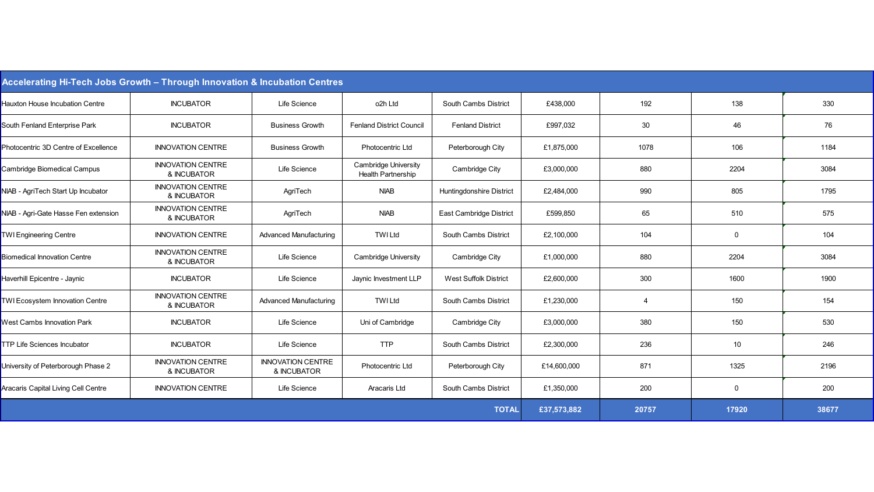| Accelerating Hi-Tech Jobs Growth - Through Innovation & Incubation Centres |                                         |                                         |                                                          |                                 |             |                |             |       |
|----------------------------------------------------------------------------|-----------------------------------------|-----------------------------------------|----------------------------------------------------------|---------------------------------|-------------|----------------|-------------|-------|
| Hauxton House Incubation Centre                                            | <b>INCUBATOR</b>                        | Life Science                            | o2h Ltd                                                  | South Cambs District            | £438,000    | 192            | 138         | 330   |
| South Fenland Enterprise Park                                              | <b>INCUBATOR</b>                        | <b>Business Growth</b>                  | <b>Fenland District Council</b>                          | <b>Fenland District</b>         | £997,032    | 30             | 46          | 76    |
| Photocentric 3D Centre of Excellence                                       | <b>INNOVATION CENTRE</b>                | <b>Business Growth</b>                  | Photocentric Ltd                                         | Peterborough City               | £1,875,000  | 1078           | 106         | 1184  |
| Cambridge Biomedical Campus                                                | <b>INNOVATION CENTRE</b><br>& INCUBATOR | Life Science                            | <b>Cambridge University</b><br><b>Health Partnership</b> | Cambridge City                  | £3,000,000  | 880            | 2204        | 3084  |
| NIAB - AgriTech Start Up Incubator                                         | <b>INNOVATION CENTRE</b><br>& INCUBATOR | AgriTech                                | <b>NIAB</b>                                              | <b>Huntingdonshire District</b> | £2,484,000  | 990            | 805         | 1795  |
| NIAB - Agri-Gate Hasse Fen extension                                       | <b>INNOVATION CENTRE</b><br>& INCUBATOR | AgriTech                                | <b>NIAB</b>                                              | East Cambridge District         | £599,850    | 65             | 510         | 575   |
| <b>TWI Engineering Centre</b>                                              | <b>INNOVATION CENTRE</b>                | <b>Advanced Manufacturing</b>           | <b>TWI Ltd</b>                                           | South Cambs District            | £2,100,000  | 104            | $\mathbf 0$ | 104   |
| <b>Biomedical Innovation Centre</b>                                        | <b>INNOVATION CENTRE</b><br>& INCUBATOR | Life Science                            | <b>Cambridge University</b>                              | Cambridge City                  | £1,000,000  | 880            | 2204        | 3084  |
| Haverhill Epicentre - Jaynic                                               | <b>INCUBATOR</b>                        | Life Science                            | Jaynic Investment LLP                                    | <b>West Suffolk District</b>    | £2,600,000  | 300            | 1600        | 1900  |
| <b>TWI Ecosystem Innovation Centre</b>                                     | <b>INNOVATION CENTRE</b><br>& INCUBATOR | <b>Advanced Manufacturing</b>           | <b>TWI Ltd</b>                                           | South Cambs District            | £1,230,000  | $\overline{4}$ | 150         | 154   |
| West Cambs Innovation Park                                                 | <b>INCUBATOR</b>                        | Life Science                            | Uni of Cambridge                                         | Cambridge City                  | £3,000,000  | 380            | 150         | 530   |
| <b>TTP Life Sciences Incubator</b>                                         | <b>INCUBATOR</b>                        | Life Science                            | <b>TTP</b>                                               | South Cambs District            | £2,300,000  | 236            | 10          | 246   |
| University of Peterborough Phase 2                                         | <b>INNOVATION CENTRE</b><br>& INCUBATOR | <b>INNOVATION CENTRE</b><br>& INCUBATOR | Photocentric Ltd                                         | Peterborough City               | £14,600,000 | 871            | 1325        | 2196  |
| Aracaris Capital Living Cell Centre                                        | <b>INNOVATION CENTRE</b>                | Life Science                            | Aracaris Ltd                                             | South Cambs District            | £1,350,000  | 200            | $\mathbf 0$ | 200   |
|                                                                            |                                         |                                         |                                                          | <b>TOTAL</b>                    | £37,573,882 | 20757          | 17920       | 38677 |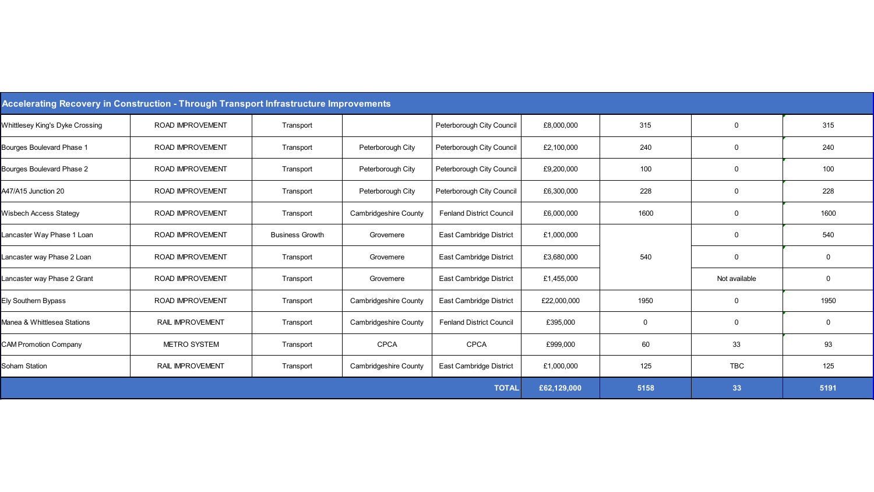| Accelerating Recovery in Construction - Through Transport Infrastructure Improvements |                         |                        |                              |                                 |             |      |               |      |  |
|---------------------------------------------------------------------------------------|-------------------------|------------------------|------------------------------|---------------------------------|-------------|------|---------------|------|--|
| <b>Whittlesey King's Dyke Crossing</b>                                                | <b>ROAD IMPROVEMENT</b> | Transport              |                              | Peterborough City Council       | £8,000,000  | 315  | $\mathbf 0$   | 315  |  |
| Bourges Boulevard Phase 1                                                             | <b>ROAD IMPROVEMENT</b> | Transport              | Peterborough City            | Peterborough City Council       | £2,100,000  | 240  | $\mathbf 0$   | 240  |  |
| Bourges Boulevard Phase 2                                                             | <b>ROAD IMPROVEMENT</b> | Transport              | Peterborough City            | Peterborough City Council       | £9,200,000  | 100  | $\mathbf 0$   | 100  |  |
| A47/A15 Junction 20                                                                   | ROAD IMPROVEMENT        | Transport              | Peterborough City            | Peterborough City Council       | £6,300,000  | 228  | $\mathbf 0$   | 228  |  |
| Wisbech Access Stategy                                                                | <b>ROAD IMPROVEMENT</b> | Transport              | <b>Cambridgeshire County</b> | <b>Fenland District Council</b> | £6,000,000  | 1600 | 0             | 1600 |  |
| Lancaster Way Phase 1 Loan                                                            | ROAD IMPROVEMENT        | <b>Business Growth</b> | Grovemere                    | East Cambridge District         | £1,000,000  |      | $\mathbf 0$   | 540  |  |
| Lancaster way Phase 2 Loan                                                            | ROAD IMPROVEMENT        | Transport              | Grovemere                    | East Cambridge District         | £3,680,000  | 540  | $\mathbf 0$   | 0    |  |
| Lancaster way Phase 2 Grant                                                           | <b>ROAD IMPROVEMENT</b> | Transport              | Grovemere                    | East Cambridge District         | £1,455,000  |      | Not available | 0    |  |
| Ely Southern Bypass                                                                   | <b>ROAD IMPROVEMENT</b> | Transport              | <b>Cambridgeshire County</b> | East Cambridge District         | £22,000,000 | 1950 | $\mathbf 0$   | 1950 |  |
| Manea & Whittlesea Stations                                                           | RAIL IMPROVEMENT        | Transport              | <b>Cambridgeshire County</b> | <b>Fenland District Council</b> | £395,000    | 0    | $\mathbf 0$   | 0    |  |
| <b>CAM Promotion Company</b>                                                          | <b>METRO SYSTEM</b>     | Transport              | <b>CPCA</b>                  | <b>CPCA</b>                     | £999,000    | 60   | 33            | 93   |  |
| Soham Station                                                                         | RAIL IMPROVEMENT        | Transport              | <b>Cambridgeshire County</b> | East Cambridge District         | £1,000,000  | 125  | <b>TBC</b>    | 125  |  |
|                                                                                       |                         |                        |                              | <b>TOTAL</b>                    | £62,129,000 | 5158 | 33            | 5191 |  |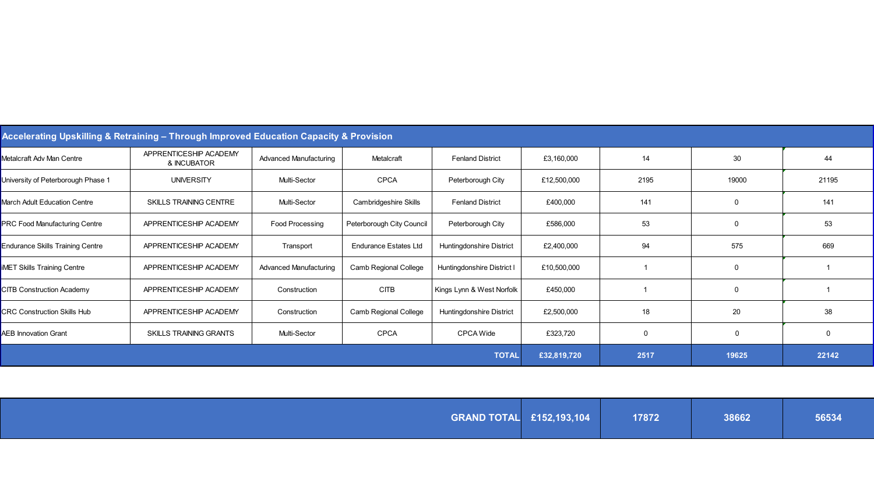| Accelerating Upskilling & Retraining – Through Improved Education Capacity & Provision |                                       |                               |                              |                            |             |      |                |       |  |
|----------------------------------------------------------------------------------------|---------------------------------------|-------------------------------|------------------------------|----------------------------|-------------|------|----------------|-------|--|
| Metalcraft Adv Man Centre                                                              | APPRENTICESHIP ACADEMY<br>& INCUBATOR | <b>Advanced Manufacturing</b> | Metalcraft                   | <b>Fenland District</b>    | £3,160,000  | 14   | 30             | 44    |  |
| University of Peterborough Phase 1                                                     | <b>UNIVERSITY</b>                     | Multi-Sector                  | <b>CPCA</b>                  | Peterborough City          | £12,500,000 | 2195 | 19000          | 21195 |  |
| March Adult Education Centre                                                           | <b>SKILLS TRAINING CENTRE</b>         | Multi-Sector                  | <b>Cambridgeshire Skills</b> | <b>Fenland District</b>    | £400,000    | 141  |                | 141   |  |
| <b>PRC Food Manufacturing Centre</b>                                                   | APPRENTICESHIP ACADEMY                | <b>Food Processing</b>        | Peterborough City Council    | Peterborough City          | £586,000    | 53   | $\Omega$       | 53    |  |
| <b>Endurance Skills Training Centre</b>                                                | APPRENTICESHIP ACADEMY                | Transport                     | <b>Endurance Estates Ltd</b> | Huntingdonshire District   | £2,400,000  | 94   | 575            | 669   |  |
| <b>IMET Skills Training Centre</b>                                                     | APPRENTICESHIP ACADEMY                | <b>Advanced Manufacturing</b> | Camb Regional College        | Huntingdonshire District I | £10,500,000 |      | $\overline{0}$ |       |  |
| <b>CITB Construction Academy</b>                                                       | APPRENTICESHIP ACADEMY                | Construction                  | CITB                         | Kings Lynn & West Norfolk  | £450,000    |      | $\mathbf 0$    |       |  |
| <b>CRC Construction Skills Hub</b>                                                     | APPRENTICESHIP ACADEMY                | Construction                  | Camb Regional College        | Huntingdonshire District   | £2,500,000  | 18   | 20             | 38    |  |
| <b>AEB Innovation Grant</b>                                                            | <b>SKILLS TRAINING GRANTS</b>         | Multi-Sector                  | CPCA                         | <b>CPCA Wide</b>           | £323,720    | 0    | $\mathbf 0$    | 0     |  |
|                                                                                        |                                       |                               |                              | <b>TOTAL</b>               | £32,819,720 | 2517 | 19625          | 22142 |  |

| 56534 | <b>GRAND TOTAL £152,193,104</b><br>17872<br> 38662 |
|-------|----------------------------------------------------|
|-------|----------------------------------------------------|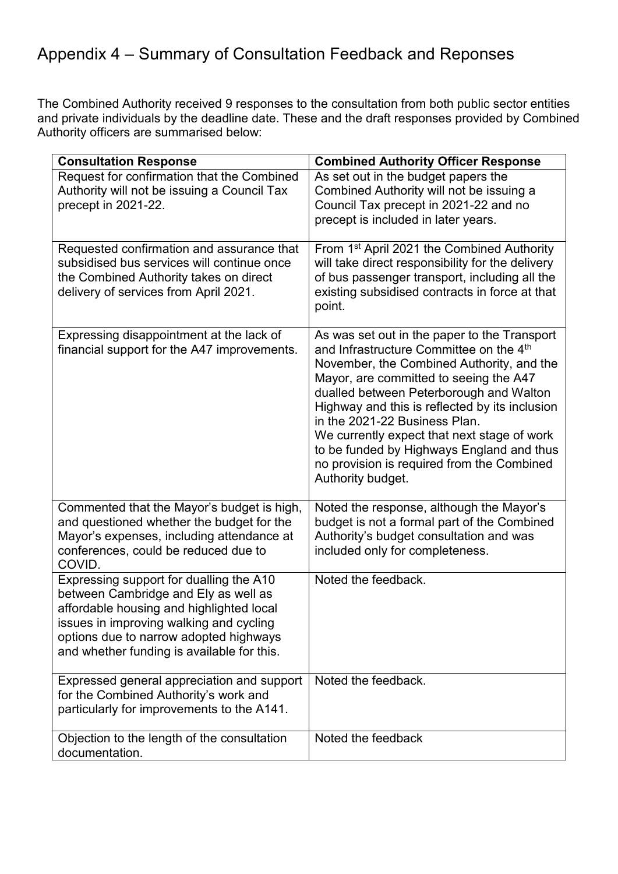# Appendix 4 – Summary of Consultation Feedback and Reponses

The Combined Authority received 9 responses to the consultation from both public sector entities and private individuals by the deadline date. These and the draft responses provided by Combined Authority officers are summarised below:

| <b>Consultation Response</b>                                                                                                                                                                                                                                   | <b>Combined Authority Officer Response</b>                                                                                                                                                                                                                                                                                                                                                                                                                                  |
|----------------------------------------------------------------------------------------------------------------------------------------------------------------------------------------------------------------------------------------------------------------|-----------------------------------------------------------------------------------------------------------------------------------------------------------------------------------------------------------------------------------------------------------------------------------------------------------------------------------------------------------------------------------------------------------------------------------------------------------------------------|
| Request for confirmation that the Combined<br>Authority will not be issuing a Council Tax<br>precept in 2021-22.                                                                                                                                               | As set out in the budget papers the<br>Combined Authority will not be issuing a<br>Council Tax precept in 2021-22 and no<br>precept is included in later years.                                                                                                                                                                                                                                                                                                             |
| Requested confirmation and assurance that<br>subsidised bus services will continue once<br>the Combined Authority takes on direct<br>delivery of services from April 2021.                                                                                     | From 1 <sup>st</sup> April 2021 the Combined Authority<br>will take direct responsibility for the delivery<br>of bus passenger transport, including all the<br>existing subsidised contracts in force at that<br>point.                                                                                                                                                                                                                                                     |
| Expressing disappointment at the lack of<br>financial support for the A47 improvements.                                                                                                                                                                        | As was set out in the paper to the Transport<br>and Infrastructure Committee on the 4th<br>November, the Combined Authority, and the<br>Mayor, are committed to seeing the A47<br>dualled between Peterborough and Walton<br>Highway and this is reflected by its inclusion<br>in the 2021-22 Business Plan.<br>We currently expect that next stage of work<br>to be funded by Highways England and thus<br>no provision is required from the Combined<br>Authority budget. |
| Commented that the Mayor's budget is high,<br>and questioned whether the budget for the<br>Mayor's expenses, including attendance at<br>conferences, could be reduced due to<br>COVID.                                                                         | Noted the response, although the Mayor's<br>budget is not a formal part of the Combined<br>Authority's budget consultation and was<br>included only for completeness.                                                                                                                                                                                                                                                                                                       |
| Expressing support for dualling the A10<br>between Cambridge and Ely as well as<br>affordable housing and highlighted local<br>issues in improving walking and cycling<br>options due to narrow adopted highways<br>and whether funding is available for this. | Noted the feedback.                                                                                                                                                                                                                                                                                                                                                                                                                                                         |
| Expressed general appreciation and support<br>for the Combined Authority's work and<br>particularly for improvements to the A141.                                                                                                                              | Noted the feedback.                                                                                                                                                                                                                                                                                                                                                                                                                                                         |
| Objection to the length of the consultation<br>documentation.                                                                                                                                                                                                  | Noted the feedback                                                                                                                                                                                                                                                                                                                                                                                                                                                          |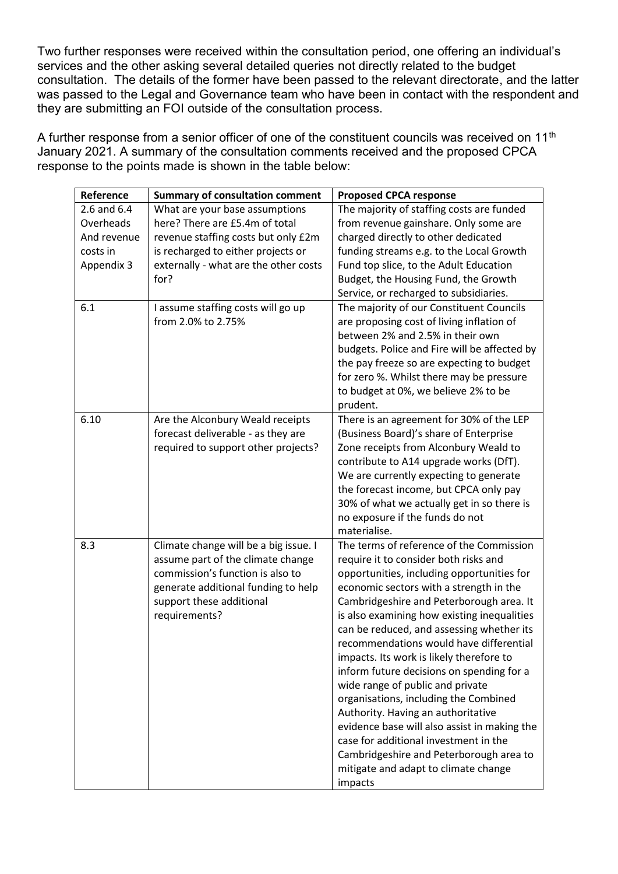Two further responses were received within the consultation period, one offering an individual's services and the other asking several detailed queries not directly related to the budget consultation. The details of the former have been passed to the relevant directorate, and the latter was passed to the Legal and Governance team who have been in contact with the respondent and they are submitting an FOI outside of the consultation process.

A further response from a senior officer of one of the constituent councils was received on 11<sup>th</sup> January 2021. A summary of the consultation comments received and the proposed CPCA response to the points made is shown in the table below:

| Reference       | <b>Summary of consultation comment</b>                                 | <b>Proposed CPCA response</b>                                                         |
|-----------------|------------------------------------------------------------------------|---------------------------------------------------------------------------------------|
| $2.6$ and $6.4$ | What are your base assumptions                                         | The majority of staffing costs are funded                                             |
| Overheads       | here? There are £5.4m of total                                         | from revenue gainshare. Only some are                                                 |
| And revenue     | revenue staffing costs but only £2m                                    | charged directly to other dedicated                                                   |
| costs in        | is recharged to either projects or                                     | funding streams e.g. to the Local Growth                                              |
| Appendix 3      | externally - what are the other costs                                  | Fund top slice, to the Adult Education                                                |
|                 | for?                                                                   | Budget, the Housing Fund, the Growth                                                  |
|                 |                                                                        | Service, or recharged to subsidiaries.                                                |
| 6.1             | I assume staffing costs will go up                                     | The majority of our Constituent Councils                                              |
|                 | from 2.0% to 2.75%                                                     | are proposing cost of living inflation of                                             |
|                 |                                                                        | between 2% and 2.5% in their own                                                      |
|                 |                                                                        | budgets. Police and Fire will be affected by                                          |
|                 |                                                                        | the pay freeze so are expecting to budget                                             |
|                 |                                                                        | for zero %. Whilst there may be pressure                                              |
|                 |                                                                        | to budget at 0%, we believe 2% to be                                                  |
| 6.10            |                                                                        | prudent.                                                                              |
|                 | Are the Alconbury Weald receipts<br>forecast deliverable - as they are | There is an agreement for 30% of the LEP<br>(Business Board)'s share of Enterprise    |
|                 | required to support other projects?                                    | Zone receipts from Alconbury Weald to                                                 |
|                 |                                                                        | contribute to A14 upgrade works (DfT).                                                |
|                 |                                                                        | We are currently expecting to generate                                                |
|                 |                                                                        | the forecast income, but CPCA only pay                                                |
|                 |                                                                        | 30% of what we actually get in so there is                                            |
|                 |                                                                        | no exposure if the funds do not                                                       |
|                 |                                                                        | materialise.                                                                          |
| 8.3             | Climate change will be a big issue. I                                  | The terms of reference of the Commission                                              |
|                 | assume part of the climate change                                      | require it to consider both risks and                                                 |
|                 | commission's function is also to                                       | opportunities, including opportunities for                                            |
|                 | generate additional funding to help                                    | economic sectors with a strength in the                                               |
|                 | support these additional                                               | Cambridgeshire and Peterborough area. It                                              |
|                 | requirements?                                                          | is also examining how existing inequalities                                           |
|                 |                                                                        | can be reduced, and assessing whether its                                             |
|                 |                                                                        | recommendations would have differential                                               |
|                 |                                                                        | impacts. Its work is likely therefore to                                              |
|                 |                                                                        | inform future decisions on spending for a                                             |
|                 |                                                                        | wide range of public and private                                                      |
|                 |                                                                        | organisations, including the Combined                                                 |
|                 |                                                                        | Authority. Having an authoritative                                                    |
|                 |                                                                        | evidence base will also assist in making the<br>case for additional investment in the |
|                 |                                                                        |                                                                                       |
|                 |                                                                        | Cambridgeshire and Peterborough area to<br>mitigate and adapt to climate change       |
|                 |                                                                        | impacts                                                                               |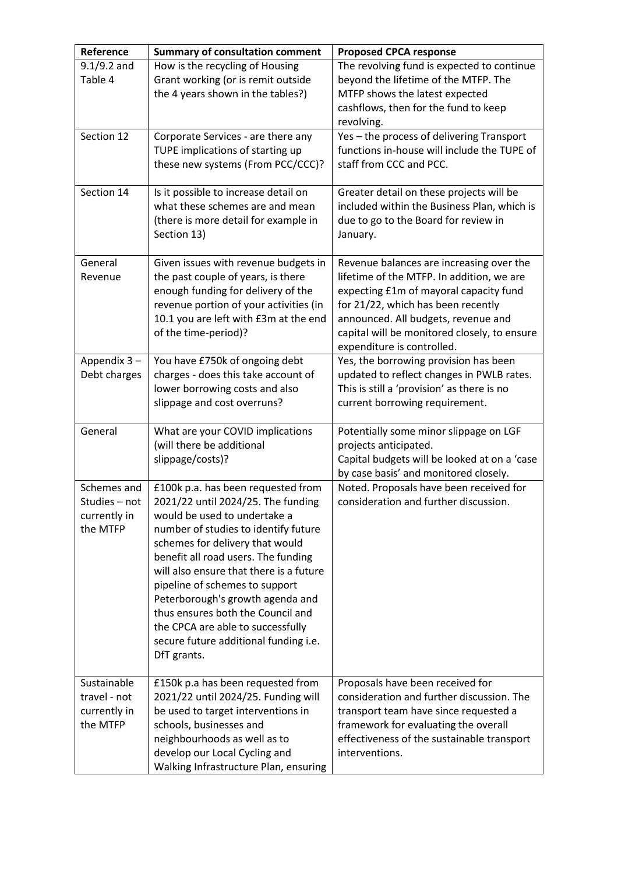| Reference                                                | <b>Summary of consultation comment</b>                                                                                                                                                                                                                                                                                                                                                                                                                                        | <b>Proposed CPCA response</b>                                                                                                                                                                                                                                                              |
|----------------------------------------------------------|-------------------------------------------------------------------------------------------------------------------------------------------------------------------------------------------------------------------------------------------------------------------------------------------------------------------------------------------------------------------------------------------------------------------------------------------------------------------------------|--------------------------------------------------------------------------------------------------------------------------------------------------------------------------------------------------------------------------------------------------------------------------------------------|
| $9.1/9.2$ and<br>Table 4                                 | How is the recycling of Housing<br>Grant working (or is remit outside<br>the 4 years shown in the tables?)                                                                                                                                                                                                                                                                                                                                                                    | The revolving fund is expected to continue<br>beyond the lifetime of the MTFP. The<br>MTFP shows the latest expected<br>cashflows, then for the fund to keep<br>revolving.                                                                                                                 |
| Section 12                                               | Corporate Services - are there any<br>TUPE implications of starting up<br>these new systems (From PCC/CCC)?                                                                                                                                                                                                                                                                                                                                                                   | Yes - the process of delivering Transport<br>functions in-house will include the TUPE of<br>staff from CCC and PCC.                                                                                                                                                                        |
| Section 14                                               | Is it possible to increase detail on<br>what these schemes are and mean<br>(there is more detail for example in<br>Section 13)                                                                                                                                                                                                                                                                                                                                                | Greater detail on these projects will be<br>included within the Business Plan, which is<br>due to go to the Board for review in<br>January.                                                                                                                                                |
| General<br>Revenue                                       | Given issues with revenue budgets in<br>the past couple of years, is there<br>enough funding for delivery of the<br>revenue portion of your activities (in<br>10.1 you are left with £3m at the end<br>of the time-period)?                                                                                                                                                                                                                                                   | Revenue balances are increasing over the<br>lifetime of the MTFP. In addition, we are<br>expecting £1m of mayoral capacity fund<br>for 21/22, which has been recently<br>announced. All budgets, revenue and<br>capital will be monitored closely, to ensure<br>expenditure is controlled. |
| Appendix 3-<br>Debt charges                              | You have £750k of ongoing debt<br>charges - does this take account of<br>lower borrowing costs and also<br>slippage and cost overruns?                                                                                                                                                                                                                                                                                                                                        | Yes, the borrowing provision has been<br>updated to reflect changes in PWLB rates.<br>This is still a 'provision' as there is no<br>current borrowing requirement.                                                                                                                         |
| General                                                  | What are your COVID implications<br>(will there be additional<br>slippage/costs)?                                                                                                                                                                                                                                                                                                                                                                                             | Potentially some minor slippage on LGF<br>projects anticipated.<br>Capital budgets will be looked at on a 'case<br>by case basis' and monitored closely.                                                                                                                                   |
| Schemes and<br>Studies - not<br>currently in<br>the MTFP | £100k p.a. has been requested from<br>2021/22 until 2024/25. The funding<br>would be used to undertake a<br>number of studies to identify future<br>schemes for delivery that would<br>benefit all road users. The funding<br>will also ensure that there is a future<br>pipeline of schemes to support<br>Peterborough's growth agenda and<br>thus ensures both the Council and<br>the CPCA are able to successfully<br>secure future additional funding i.e.<br>DfT grants. | Noted. Proposals have been received for<br>consideration and further discussion.                                                                                                                                                                                                           |
| Sustainable<br>travel - not<br>currently in<br>the MTFP  | £150k p.a has been requested from<br>2021/22 until 2024/25. Funding will<br>be used to target interventions in<br>schools, businesses and<br>neighbourhoods as well as to<br>develop our Local Cycling and<br>Walking Infrastructure Plan, ensuring                                                                                                                                                                                                                           | Proposals have been received for<br>consideration and further discussion. The<br>transport team have since requested a<br>framework for evaluating the overall<br>effectiveness of the sustainable transport<br>interventions.                                                             |